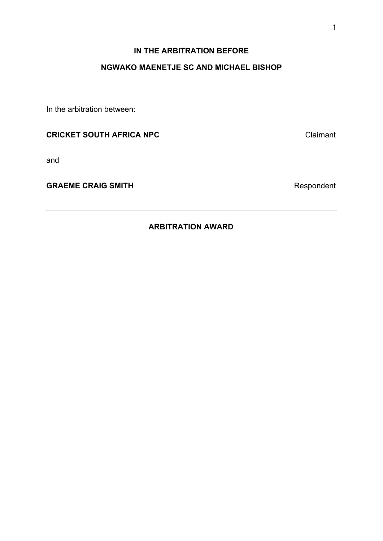# **IN THE ARBITRATION BEFORE**

# **NGWAKO MAENETJE SC AND MICHAEL BISHOP**

In the arbitration between:

# **CRICKET SOUTH AFRICA NPC** Claimant

and

GRAEME CRAIG SMITH **GRAEME CRAIG SMITH** 

# **ARBITRATION AWARD**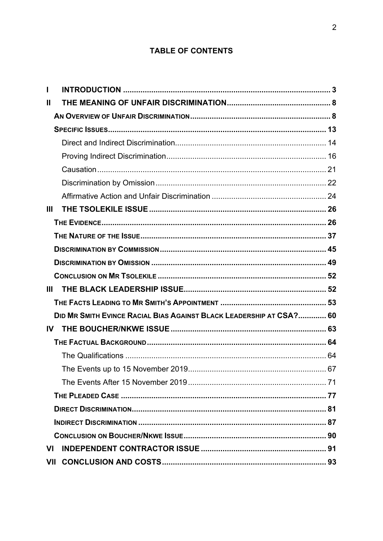# **TABLE OF CONTENTS**

| Ш             |                                                                     |  |
|---------------|---------------------------------------------------------------------|--|
| $\mathbf{II}$ |                                                                     |  |
|               |                                                                     |  |
|               |                                                                     |  |
|               |                                                                     |  |
|               |                                                                     |  |
|               |                                                                     |  |
|               |                                                                     |  |
|               |                                                                     |  |
| Ш             |                                                                     |  |
|               |                                                                     |  |
|               |                                                                     |  |
|               |                                                                     |  |
|               |                                                                     |  |
|               |                                                                     |  |
| Ш             |                                                                     |  |
|               |                                                                     |  |
|               | DID MR SMITH EVINCE RACIAL BIAS AGAINST BLACK LEADERSHIP AT CSA? 60 |  |
|               |                                                                     |  |
|               |                                                                     |  |
|               |                                                                     |  |
|               |                                                                     |  |
|               |                                                                     |  |
|               |                                                                     |  |
|               |                                                                     |  |
|               |                                                                     |  |
|               |                                                                     |  |
| VI            |                                                                     |  |
| VII           |                                                                     |  |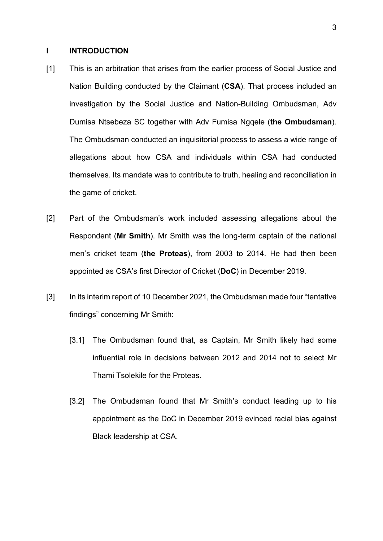## <span id="page-2-0"></span>**I INTRODUCTION**

- [1] This is an arbitration that arises from the earlier process of Social Justice and Nation Building conducted by the Claimant (**CSA**). That process included an investigation by the Social Justice and Nation-Building Ombudsman, Adv Dumisa Ntsebeza SC together with Adv Fumisa Ngqele (**the Ombudsman**). The Ombudsman conducted an inquisitorial process to assess a wide range of allegations about how CSA and individuals within CSA had conducted themselves. Its mandate was to contribute to truth, healing and reconciliation in the game of cricket.
- [2] Part of the Ombudsman's work included assessing allegations about the Respondent (**Mr Smith**). Mr Smith was the long-term captain of the national men's cricket team (**the Proteas**), from 2003 to 2014. He had then been appointed as CSA's first Director of Cricket (**DoC**) in December 2019.
- [3] In its interim report of 10 December 2021, the Ombudsman made four "tentative findings" concerning Mr Smith:
	- [3.1] The Ombudsman found that, as Captain, Mr Smith likely had some influential role in decisions between 2012 and 2014 not to select Mr Thami Tsolekile for the Proteas.
	- [3.2] The Ombudsman found that Mr Smith's conduct leading up to his appointment as the DoC in December 2019 evinced racial bias against Black leadership at CSA.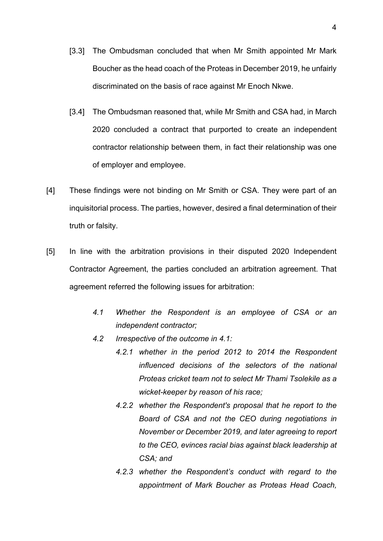- [3.3] The Ombudsman concluded that when Mr Smith appointed Mr Mark Boucher as the head coach of the Proteas in December 2019, he unfairly discriminated on the basis of race against Mr Enoch Nkwe.
- [3.4] The Ombudsman reasoned that, while Mr Smith and CSA had, in March 2020 concluded a contract that purported to create an independent contractor relationship between them, in fact their relationship was one of employer and employee.
- [4] These findings were not binding on Mr Smith or CSA. They were part of an inquisitorial process. The parties, however, desired a final determination of their truth or falsity.
- [5] In line with the arbitration provisions in their disputed 2020 Independent Contractor Agreement, the parties concluded an arbitration agreement. That agreement referred the following issues for arbitration:
	- *4.1 Whether the Respondent is an employee of CSA or an independent contractor;*
	- *4.2 Irrespective of the outcome in 4.1:*
		- *4.2.1 whether in the period 2012 to 2014 the Respondent influenced decisions of the selectors of the national Proteas cricket team not to select Mr Thami Tsolekile as a wicket-keeper by reason of his race;*
		- *4.2.2 whether the Respondent's proposal that he report to the Board of CSA and not the CEO during negotiations in November or December 2019, and later agreeing to report to the CEO, evinces racial bias against black leadership at CSA; and*
		- *4.2.3 whether the Respondent's conduct with regard to the appointment of Mark Boucher as Proteas Head Coach,*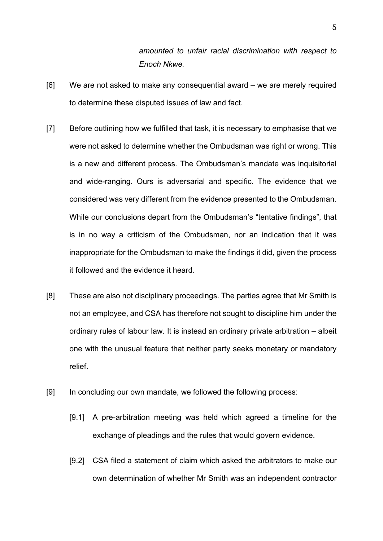*amounted to unfair racial discrimination with respect to Enoch Nkwe.*

- [6] We are not asked to make any consequential award we are merely required to determine these disputed issues of law and fact.
- [7] Before outlining how we fulfilled that task, it is necessary to emphasise that we were not asked to determine whether the Ombudsman was right or wrong. This is a new and different process. The Ombudsman's mandate was inquisitorial and wide-ranging. Ours is adversarial and specific. The evidence that we considered was very different from the evidence presented to the Ombudsman. While our conclusions depart from the Ombudsman's "tentative findings", that is in no way a criticism of the Ombudsman, nor an indication that it was inappropriate for the Ombudsman to make the findings it did, given the process it followed and the evidence it heard.
- [8] These are also not disciplinary proceedings. The parties agree that Mr Smith is not an employee, and CSA has therefore not sought to discipline him under the ordinary rules of labour law. It is instead an ordinary private arbitration – albeit one with the unusual feature that neither party seeks monetary or mandatory relief.
- [9] In concluding our own mandate, we followed the following process:
	- [9.1] A pre-arbitration meeting was held which agreed a timeline for the exchange of pleadings and the rules that would govern evidence.
	- [9.2] CSA filed a statement of claim which asked the arbitrators to make our own determination of whether Mr Smith was an independent contractor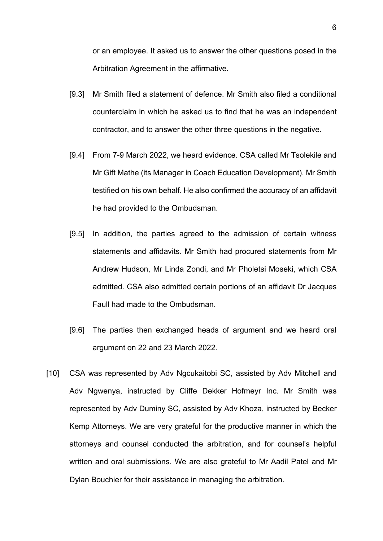or an employee. It asked us to answer the other questions posed in the Arbitration Agreement in the affirmative.

- [9.3] Mr Smith filed a statement of defence. Mr Smith also filed a conditional counterclaim in which he asked us to find that he was an independent contractor, and to answer the other three questions in the negative.
- [9.4] From 7-9 March 2022, we heard evidence. CSA called Mr Tsolekile and Mr Gift Mathe (its Manager in Coach Education Development). Mr Smith testified on his own behalf. He also confirmed the accuracy of an affidavit he had provided to the Ombudsman.
- [9.5] In addition, the parties agreed to the admission of certain witness statements and affidavits. Mr Smith had procured statements from Mr Andrew Hudson, Mr Linda Zondi, and Mr Pholetsi Moseki, which CSA admitted. CSA also admitted certain portions of an affidavit Dr Jacques Faull had made to the Ombudsman.
- [9.6] The parties then exchanged heads of argument and we heard oral argument on 22 and 23 March 2022.
- [10] CSA was represented by Adv Ngcukaitobi SC, assisted by Adv Mitchell and Adv Ngwenya, instructed by Cliffe Dekker Hofmeyr Inc. Mr Smith was represented by Adv Duminy SC, assisted by Adv Khoza, instructed by Becker Kemp Attorneys. We are very grateful for the productive manner in which the attorneys and counsel conducted the arbitration, and for counsel's helpful written and oral submissions. We are also grateful to Mr Aadil Patel and Mr Dylan Bouchier for their assistance in managing the arbitration.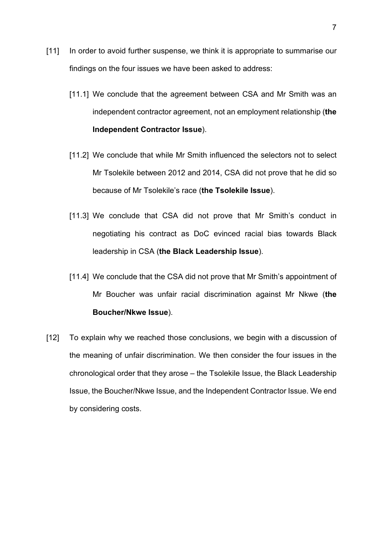- [11] In order to avoid further suspense, we think it is appropriate to summarise our findings on the four issues we have been asked to address:
	- [11.1] We conclude that the agreement between CSA and Mr Smith was an independent contractor agreement, not an employment relationship (**the Independent Contractor Issue**).
	- [11.2] We conclude that while Mr Smith influenced the selectors not to select Mr Tsolekile between 2012 and 2014, CSA did not prove that he did so because of Mr Tsolekile's race (**the Tsolekile Issue**).
	- [11.3] We conclude that CSA did not prove that Mr Smith's conduct in negotiating his contract as DoC evinced racial bias towards Black leadership in CSA (**the Black Leadership Issue**).
	- [11.4] We conclude that the CSA did not prove that Mr Smith's appointment of Mr Boucher was unfair racial discrimination against Mr Nkwe (**the Boucher/Nkwe Issue**).
- [12] To explain why we reached those conclusions, we begin with a discussion of the meaning of unfair discrimination. We then consider the four issues in the chronological order that they arose – the Tsolekile Issue, the Black Leadership Issue, the Boucher/Nkwe Issue, and the Independent Contractor Issue. We end by considering costs.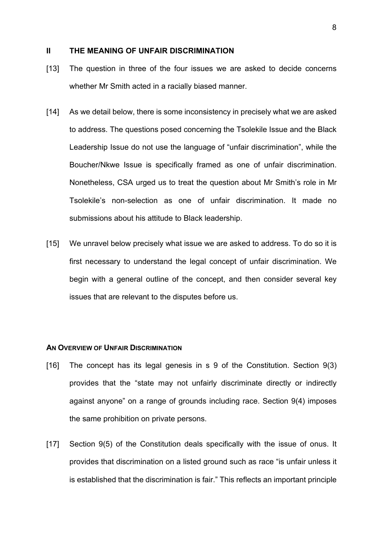## <span id="page-7-0"></span>**II THE MEANING OF UNFAIR DISCRIMINATION**

- [13] The question in three of the four issues we are asked to decide concerns whether Mr Smith acted in a racially biased manner.
- [14] As we detail below, there is some inconsistency in precisely what we are asked to address. The questions posed concerning the Tsolekile Issue and the Black Leadership Issue do not use the language of "unfair discrimination", while the Boucher/Nkwe Issue is specifically framed as one of unfair discrimination. Nonetheless, CSA urged us to treat the question about Mr Smith's role in Mr Tsolekile's non-selection as one of unfair discrimination. It made no submissions about his attitude to Black leadership.
- [15] We unravel below precisely what issue we are asked to address. To do so it is first necessary to understand the legal concept of unfair discrimination. We begin with a general outline of the concept, and then consider several key issues that are relevant to the disputes before us.

#### <span id="page-7-1"></span>**AN OVERVIEW OF UNFAIR DISCRIMINATION**

- [16] The concept has its legal genesis in s 9 of the Constitution. Section 9(3) provides that the "state may not unfairly discriminate directly or indirectly against anyone" on a range of grounds including race. Section 9(4) imposes the same prohibition on private persons.
- [17] Section 9(5) of the Constitution deals specifically with the issue of onus. It provides that discrimination on a listed ground such as race "is unfair unless it is established that the discrimination is fair." This reflects an important principle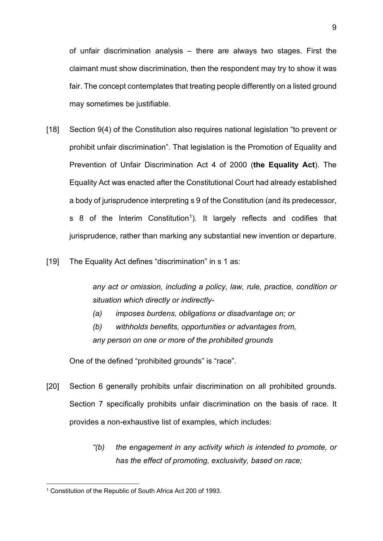of unfair discrimination analysis – there are always two stages. First the claimant must show discrimination, then the respondent may try to show it was fair. The concept contemplates that treating people differently on a listed ground may sometimes be justifiable.

- [18] Section 9(4) of the Constitution also requires national legislation "to prevent or prohibit unfair discrimination". That legislation is the Promotion of Equality and Prevention of Unfair Discrimination Act 4 of 2000 (**the Equality Act**). The Equality Act was enacted after the Constitutional Court had already established a body of jurisprudence interpreting s 9 of the Constitution (and its predecessor, s 8 of the Interim Constitution<sup>1</sup>). It largely reflects and codifies that jurisprudence, rather than marking any substantial new invention or departure.
- [19] The Equality Act defines "discrimination" in s 1 as:

*any act or omission, including a policy, law, rule, practice, condition or situation which directly or indirectly-*

- *(a) imposes burdens, obligations or disadvantage on; or*
- *(b) withholds benefits, opportunities or advantages from, any person on one or more of the prohibited grounds*

One of the defined "prohibited grounds" is "race".

- [20] Section 6 generally prohibits unfair discrimination on all prohibited grounds. Section 7 specifically prohibits unfair discrimination on the basis of race. It provides a non-exhaustive list of examples, which includes:
	- *"(b) the engagement in any activity which is intended to promote, or has the effect of promoting, exclusivity, based on race;*

<span id="page-8-0"></span><sup>1</sup> Constitution of the Republic of South Africa Act 200 of 1993.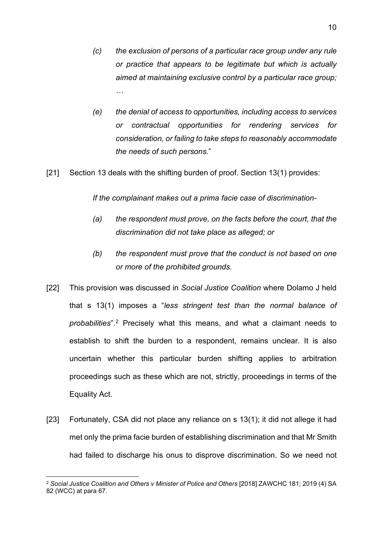- *(c) the exclusion of persons of a particular race group under any rule or practice that appears to be legitimate but which is actually aimed at maintaining exclusive control by a particular race group; …*
- *(e) the denial of access to opportunities, including access to services or contractual opportunities for rendering services for consideration, or failing to take steps to reasonably accommodate the needs of such persons.*"
- [21] Section 13 deals with the shifting burden of proof. Section 13(1) provides:

*If the complainant makes out a prima facie case of discrimination-*

- *(a) the respondent must prove, on the facts before the court, that the discrimination did not take place as alleged; or*
- <span id="page-9-1"></span>*(b) the respondent must prove that the conduct is not based on one or more of the prohibited grounds.*
- [22] This provision was discussed in *Social Justice Coalition* where Dolamo J held that s 13(1) imposes a "*less stringent test than the normal balance of probabilities*".[2](#page-9-0) Precisely what this means, and what a claimant needs to establish to shift the burden to a respondent, remains unclear. It is also uncertain whether this particular burden shifting applies to arbitration proceedings such as these which are not, strictly, proceedings in terms of the Equality Act.
- [23] Fortunately, CSA did not place any reliance on s 13(1); it did not allege it had met only the prima facie burden of establishing discrimination and that Mr Smith had failed to discharge his onus to disprove discrimination. So we need not

<span id="page-9-0"></span><sup>2</sup> *Social Justice Coalition and Others v Minister of Police and Others* [2018] ZAWCHC 181; 2019 (4) SA 82 (WCC) at para 67.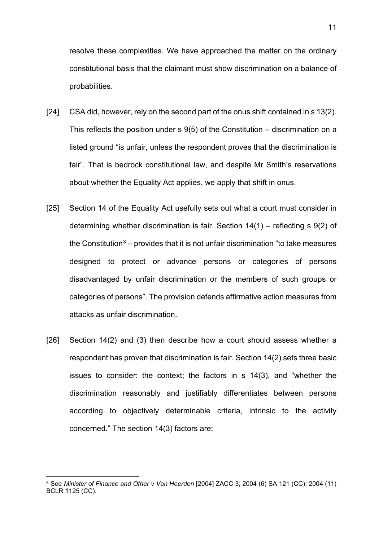resolve these complexities. We have approached the matter on the ordinary constitutional basis that the claimant must show discrimination on a balance of probabilities.

- [24] CSA did, however, rely on the second part of the onus shift contained in s 13(2). This reflects the position under s 9(5) of the Constitution – discrimination on a listed ground "is unfair, unless the respondent proves that the discrimination is fair". That is bedrock constitutional law, and despite Mr Smith's reservations about whether the Equality Act applies, we apply that shift in onus.
- [25] Section 14 of the Equality Act usefully sets out what a court must consider in determining whether discrimination is fair. Section 14(1) – reflecting s 9(2) of the Constitution<sup>[3](#page-10-0)</sup> – provides that it is not unfair discrimination "to take measures" designed to protect or advance persons or categories of persons disadvantaged by unfair discrimination or the members of such groups or categories of persons". The provision defends affirmative action measures from attacks as unfair discrimination.
- [26] Section 14(2) and (3) then describe how a court should assess whether a respondent has proven that discrimination is fair. Section 14(2) sets three basic issues to consider: the context; the factors in s 14(3), and "whether the discrimination reasonably and justifiably differentiates between persons according to objectively determinable criteria, intrinsic to the activity concerned." The section 14(3) factors are:

<span id="page-10-0"></span><sup>3</sup> See *Minister of Finance and Other v Van Heerden* [2004] ZACC 3; 2004 (6) SA 121 (CC); 2004 (11) BCLR 1125 (CC).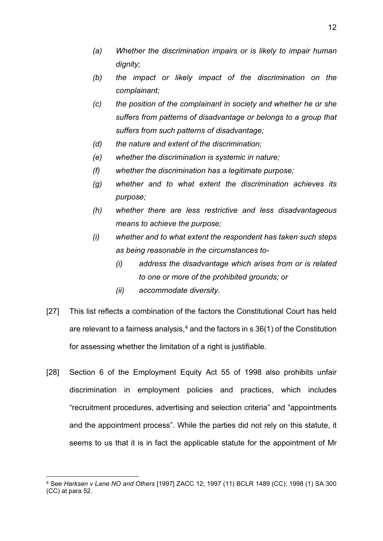- *(a) Whether the discrimination impairs or is likely to impair human dignity;*
- *(b) the impact or likely impact of the discrimination on the complainant;*
- *(c) the position of the complainant in society and whether he or she suffers from patterns of disadvantage or belongs to a group that suffers from such patterns of disadvantage;*
- *(d) the nature and extent of the discrimination;*
- *(e) whether the discrimination is systemic in nature;*
- *(f) whether the discrimination has a legitimate purpose;*
- *(g) whether and to what extent the discrimination achieves its purpose;*
- *(h) whether there are less restrictive and less disadvantageous means to achieve the purpose;*
- *(i) whether and to what extent the respondent has taken such steps as being reasonable in the circumstances to-*
	- *(i) address the disadvantage which arises from or is related to one or more of the prohibited grounds; or*
	- *(ii) accommodate diversity.*
- [27] This list reflects a combination of the factors the Constitutional Court has held are relevant to a fairness analysis,  $4$  and the factors in s 36(1) of the Constitution for assessing whether the limitation of a right is justifiable.
- [28] Section 6 of the Employment Equity Act 55 of 1998 also prohibits unfair discrimination in employment policies and practices, which includes "recruitment procedures, advertising and selection criteria" and "appointments and the appointment process". While the parties did not rely on this statute, it seems to us that it is in fact the applicable statute for the appointment of Mr

<span id="page-11-0"></span><sup>4</sup> See *Harksen v Lane NO and Others* [1997] ZACC 12; 1997 (11) BCLR 1489 (CC); 1998 (1) SA 300 (CC) at para 52.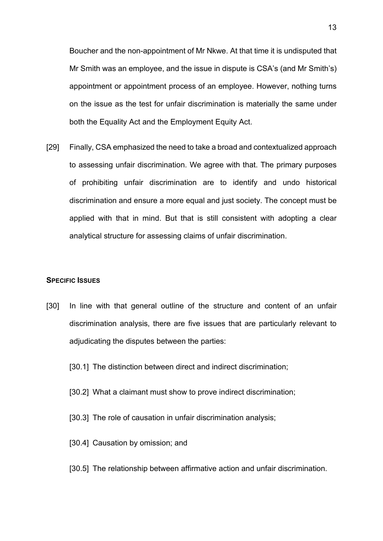Boucher and the non-appointment of Mr Nkwe. At that time it is undisputed that Mr Smith was an employee, and the issue in dispute is CSA's (and Mr Smith's) appointment or appointment process of an employee. However, nothing turns on the issue as the test for unfair discrimination is materially the same under both the Equality Act and the Employment Equity Act.

[29] Finally, CSA emphasized the need to take a broad and contextualized approach to assessing unfair discrimination. We agree with that. The primary purposes of prohibiting unfair discrimination are to identify and undo historical discrimination and ensure a more equal and just society. The concept must be applied with that in mind. But that is still consistent with adopting a clear analytical structure for assessing claims of unfair discrimination.

#### <span id="page-12-0"></span>**SPECIFIC ISSUES**

- [30] In line with that general outline of the structure and content of an unfair discrimination analysis, there are five issues that are particularly relevant to adjudicating the disputes between the parties:
	- [30.1] The distinction between direct and indirect discrimination;
	- [30.2] What a claimant must show to prove indirect discrimination;
	- [30.3] The role of causation in unfair discrimination analysis;
	- [30.4] Causation by omission; and
	- [30.5] The relationship between affirmative action and unfair discrimination.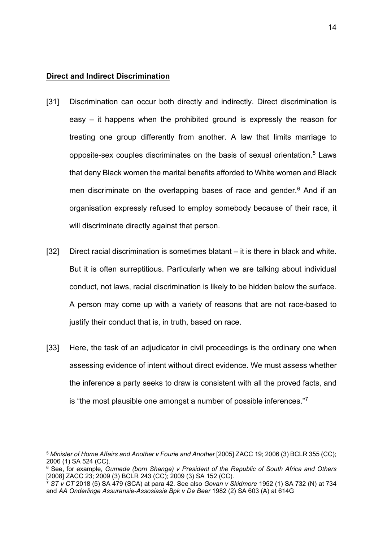#### <span id="page-13-0"></span>**Direct and Indirect Discrimination**

- [31] Discrimination can occur both directly and indirectly. Direct discrimination is easy – it happens when the prohibited ground is expressly the reason for treating one group differently from another. A law that limits marriage to opposite-sex couples discriminates on the basis of sexual orientation.[5](#page-13-1) Laws that deny Black women the marital benefits afforded to White women and Black men discriminate on the overlapping bases of race and gender. [6](#page-13-2) And if an organisation expressly refused to employ somebody because of their race, it will discriminate directly against that person.
- [32] Direct racial discrimination is sometimes blatant it is there in black and white. But it is often surreptitious. Particularly when we are talking about individual conduct, not laws, racial discrimination is likely to be hidden below the surface. A person may come up with a variety of reasons that are not race-based to justify their conduct that is, in truth, based on race.
- [33] Here, the task of an adjudicator in civil proceedings is the ordinary one when assessing evidence of intent without direct evidence. We must assess whether the inference a party seeks to draw is consistent with all the proved facts, and is "the most plausible one amongst a number of possible inferences."[7](#page-13-3)

<span id="page-13-1"></span><sup>5</sup> *Minister of Home Affairs and Another v Fourie and Another* [2005] ZACC 19; 2006 (3) BCLR 355 (CC); 2006 (1) SA 524 (CC).

<span id="page-13-2"></span><sup>6</sup> See, for example, *Gumede (born Shange) v President of the Republic of South Africa and Others* [2008] ZACC 23; 2009 (3) BCLR 243 (CC); 2009 (3) SA 152 (CC).

<span id="page-13-3"></span><sup>7</sup> *ST v CT* 2018 (5) SA 479 (SCA) at para 42. See also *Govan v Skidmore* 1952 (1) SA 732 (N) at 734 and *AA Onderlinge Assuransie-Assosiasie Bpk v De Beer* 1982 (2) SA 603 (A) at 614G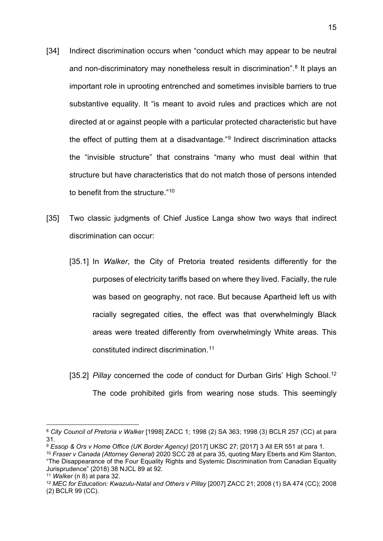- <span id="page-14-0"></span>[34] Indirect discrimination occurs when "conduct which may appear to be neutral and non-discriminatory may nonetheless result in discrimination".<sup>[8](#page-14-1)</sup> It plays an important role in uprooting entrenched and sometimes invisible barriers to true substantive equality. It "is meant to avoid rules and practices which are not directed at or against people with a particular protected characteristic but have the effect of putting them at a disadvantage."[9](#page-14-2) Indirect discrimination attacks the "invisible structure" that constrains "many who must deal within that structure but have characteristics that do not match those of persons intended to benefit from the structure."[10](#page-14-3)
- <span id="page-14-8"></span><span id="page-14-7"></span>[35] Two classic judgments of Chief Justice Langa show two ways that indirect discrimination can occur:
	- [35.1] In *Walker*, the City of Pretoria treated residents differently for the purposes of electricity tariffs based on where they lived. Facially, the rule was based on geography, not race. But because Apartheid left us with racially segregated cities, the effect was that overwhelmingly Black areas were treated differently from overwhelmingly White areas. This constituted indirect discrimination.[11](#page-14-4)
	- [35.2] *Pillay* concerned the code of conduct for Durban Girls' High School.<sup>[12](#page-14-5)</sup> The code prohibited girls from wearing nose studs. This seemingly

<span id="page-14-6"></span><span id="page-14-1"></span><sup>8</sup> *City Council of Pretoria v Walker* [1998] ZACC 1; 1998 (2) SA 363; 1998 (3) BCLR 257 (CC) at para 31.

<span id="page-14-2"></span><sup>9</sup> *Essop & Ors v Home Office (UK Border Agency)* [2017] UKSC 27; [2017] 3 All ER 551 at para 1.

<span id="page-14-3"></span><sup>10</sup> *Fraser v Canada (Attorney General)* 2020 SCC 28 at para 35, quoting Mary Eberts and Kim Stanton, "The Disappearance of the Four Equality Rights and Systemic Discrimination from Canadian Equality Jurisprudence" (2018) 38 NJCL 89 at 92.

<span id="page-14-4"></span><sup>11</sup> *Walker* (n [8\)](#page-14-0) at para 32.

<span id="page-14-5"></span><sup>12</sup> *MEC for Education: Kwazulu-Natal and Others v Pillay* [2007] ZACC 21; 2008 (1) SA 474 (CC); 2008 (2) BCLR 99 (CC).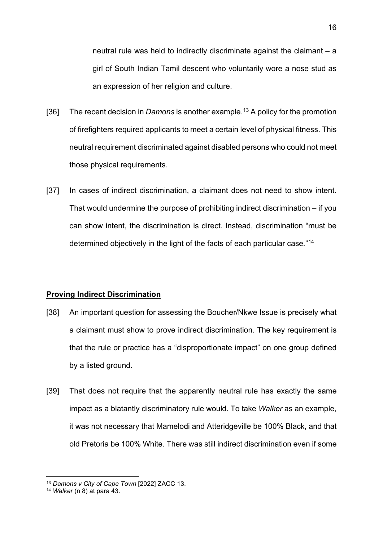neutral rule was held to indirectly discriminate against the claimant – a girl of South Indian Tamil descent who voluntarily wore a nose stud as an expression of her religion and culture.

- [36] The recent decision in *Damons* is another example. [13](#page-15-1) A policy for the promotion of firefighters required applicants to meet a certain level of physical fitness. This neutral requirement discriminated against disabled persons who could not meet those physical requirements.
- [37] In cases of indirect discrimination, a claimant does not need to show intent. That would undermine the purpose of prohibiting indirect discrimination – if you can show intent, the discrimination is direct. Instead, discrimination "must be determined objectively in the light of the facts of each particular case*.*"[14](#page-15-2)

#### <span id="page-15-0"></span>**Proving Indirect Discrimination**

- [38] An important question for assessing the Boucher/Nkwe Issue is precisely what a claimant must show to prove indirect discrimination. The key requirement is that the rule or practice has a "disproportionate impact" on one group defined by a listed ground.
- [39] That does not require that the apparently neutral rule has exactly the same impact as a blatantly discriminatory rule would. To take *Walker* as an example, it was not necessary that Mamelodi and Atteridgeville be 100% Black, and that old Pretoria be 100% White. There was still indirect discrimination even if some

<span id="page-15-1"></span><sup>13</sup> *Damons v City of Cape Town* [2022] ZACC 13.

<span id="page-15-2"></span><sup>14</sup> *Walker* (n [8\)](#page-14-0) at para 43.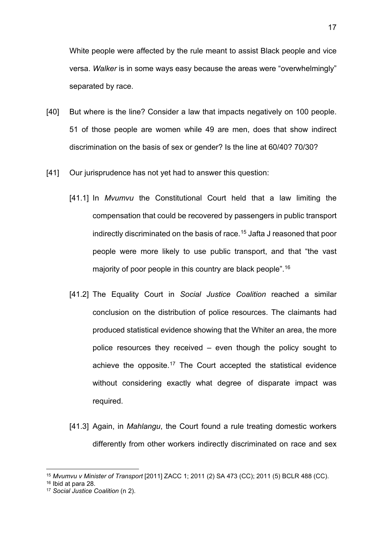White people were affected by the rule meant to assist Black people and vice versa. *Walker* is in some ways easy because the areas were "overwhelmingly" separated by race.

- [40] But where is the line? Consider a law that impacts negatively on 100 people. 51 of those people are women while 49 are men, does that show indirect discrimination on the basis of sex or gender? Is the line at 60/40? 70/30?
- [41] Our jurisprudence has not yet had to answer this question:
	- [41.1] In *Mvumvu* the Constitutional Court held that a law limiting the compensation that could be recovered by passengers in public transport indirectly discriminated on the basis of race.[15](#page-16-0) Jafta J reasoned that poor people were more likely to use public transport, and that "the vast majority of poor people in this country are black people".[16](#page-16-1)
	- [41.2] The Equality Court in *Social Justice Coalition* reached a similar conclusion on the distribution of police resources. The claimants had produced statistical evidence showing that the Whiter an area, the more police resources they received – even though the policy sought to achieve the opposite.<sup>[17](#page-16-2)</sup> The Court accepted the statistical evidence without considering exactly what degree of disparate impact was required.
	- [41.3] Again, in *Mahlangu*, the Court found a rule treating domestic workers differently from other workers indirectly discriminated on race and sex

<span id="page-16-0"></span><sup>15</sup> *Mvumvu v Minister of Transport* [2011] ZACC 1; 2011 (2) SA 473 (CC); 2011 (5) BCLR 488 (CC).

<span id="page-16-1"></span><sup>16</sup> Ibid at para 28.

<span id="page-16-2"></span><sup>17</sup> *Social Justice Coalition* (n [2\)](#page-9-1).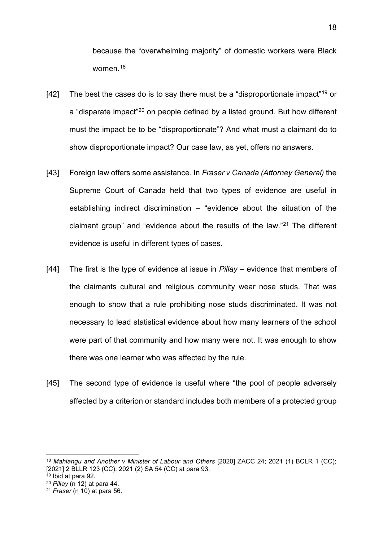because the "overwhelming majority" of domestic workers were Black women<sup>18</sup>

- [42] The best the cases do is to say there must be a "disproportionate impact"<sup>[19](#page-17-1)</sup> or a "disparate impact"<sup>[20](#page-17-2)</sup> on people defined by a listed ground. But how different must the impact be to be "disproportionate"? And what must a claimant do to show disproportionate impact? Our case law, as yet, offers no answers.
- [43] Foreign law offers some assistance. In *Fraser v Canada (Attorney General)* the Supreme Court of Canada held that two types of evidence are useful in establishing indirect discrimination – "evidence about the situation of the claimant group" and "evidence about the results of the law."[21](#page-17-3) The different evidence is useful in different types of cases.
- [44] The first is the type of evidence at issue in *Pillay* evidence that members of the claimants cultural and religious community wear nose studs. That was enough to show that a rule prohibiting nose studs discriminated. It was not necessary to lead statistical evidence about how many learners of the school were part of that community and how many were not. It was enough to show there was one learner who was affected by the rule.
- [45] The second type of evidence is useful where "the pool of people adversely affected by a criterion or standard includes both members of a protected group

<span id="page-17-0"></span><sup>18</sup> *Mahlangu and Another v Minister of Labour and Others* [2020] ZACC 24; 2021 (1) BCLR 1 (CC); [2021] 2 BLLR 123 (CC); 2021 (2) SA 54 (CC) at para 93.

<span id="page-17-1"></span> $19$  Ibid at para 92.

<span id="page-17-2"></span><sup>20</sup> *Pillay* (n [12\)](#page-14-6) at para 44.

<span id="page-17-3"></span><sup>21</sup> *Fraser* (n [10\)](#page-14-7) at para 56.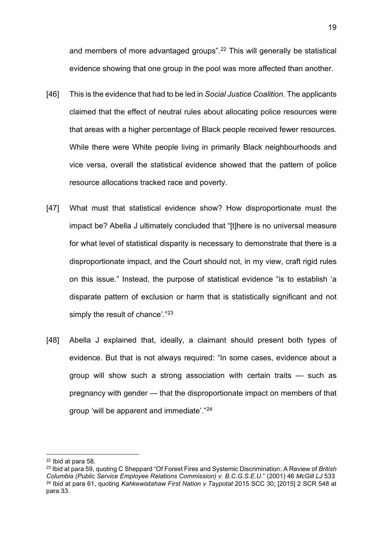and members of more advantaged groups".<sup>[22](#page-18-0)</sup> This will generally be statistical evidence showing that one group in the pool was more affected than another.

- [46] This is the evidence that had to be led in *Social Justice Coalition*. The applicants claimed that the effect of neutral rules about allocating police resources were that areas with a higher percentage of Black people received fewer resources. While there were White people living in primarily Black neighbourhoods and vice versa, overall the statistical evidence showed that the pattern of police resource allocations tracked race and poverty.
- [47] What must that statistical evidence show? How disproportionate must the impact be? Abella J ultimately concluded that "[t]here is no universal measure for what level of statistical disparity is necessary to demonstrate that there is a disproportionate impact, and the Court should not, in my view, craft rigid rules on this issue." Instead, the purpose of statistical evidence "is to establish 'a disparate pattern of exclusion or harm that is statistically significant and not simply the result of chance'."<sup>[23](#page-18-1)</sup>
- [48] Abella J explained that, ideally, a claimant should present both types of evidence. But that is not always required: "In some cases, evidence about a group will show such a strong association with certain traits — such as pregnancy with gender — that the disproportionate impact on members of that group 'will be apparent and immediate'."[24](#page-18-2)

<span id="page-18-0"></span><sup>22</sup> Ibid at para 58.

<span id="page-18-2"></span><span id="page-18-1"></span><sup>23</sup> Ibid at para 59, quoting C Sheppard "Of Forest Fires and Systemic Discrimination: A Review of *British Columbia (Public Service Employee Relations Commission) v. B.C.G.S.E.U.*" (2001) 46 *McGill LJ* 533 <sup>24</sup> Ibid at para 61, quoting *Kahkewistahaw First Nation v Taypotat* 2015 SCC 30; [2015] 2 SCR 548 at para 33.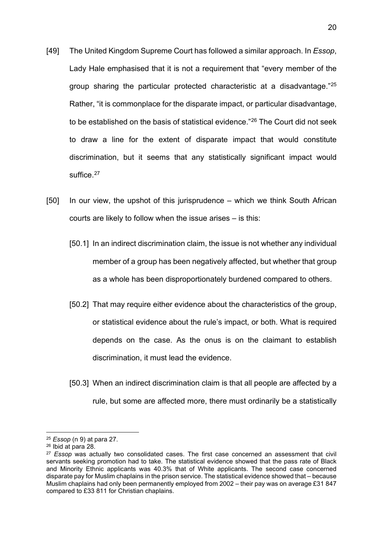- [49] The United Kingdom Supreme Court has followed a similar approach. In *Essop*, Lady Hale emphasised that it is not a requirement that "every member of the group sharing the particular protected characteristic at a disadvantage."[25](#page-19-0) Rather, "it is commonplace for the disparate impact, or particular disadvantage, to be established on the basis of statistical evidence."[26](#page-19-1) The Court did not seek to draw a line for the extent of disparate impact that would constitute discrimination, but it seems that any statistically significant impact would suffice.<sup>[27](#page-19-2)</sup>
- [50] In our view, the upshot of this jurisprudence which we think South African courts are likely to follow when the issue arises – is this:
	- [50.1] In an indirect discrimination claim, the issue is not whether any individual member of a group has been negatively affected, but whether that group as a whole has been disproportionately burdened compared to others.
	- [50.2] That may require either evidence about the characteristics of the group, or statistical evidence about the rule's impact, or both. What is required depends on the case. As the onus is on the claimant to establish discrimination, it must lead the evidence.
	- [50.3] When an indirect discrimination claim is that all people are affected by a rule, but some are affected more, there must ordinarily be a statistically

<span id="page-19-0"></span><sup>25</sup> *Essop* (n [9\)](#page-14-8) at para 27.

<span id="page-19-1"></span><sup>26</sup> Ibid at para 28.

<span id="page-19-2"></span><sup>27</sup> *Essop* was actually two consolidated cases. The first case concerned an assessment that civil servants seeking promotion had to take. The statistical evidence showed that the pass rate of Black and Minority Ethnic applicants was 40.3% that of White applicants. The second case concerned disparate pay for Muslim chaplains in the prison service. The statistical evidence showed that – because Muslim chaplains had only been permanently employed from 2002 – their pay was on average £31 847 compared to £33 811 for Christian chaplains.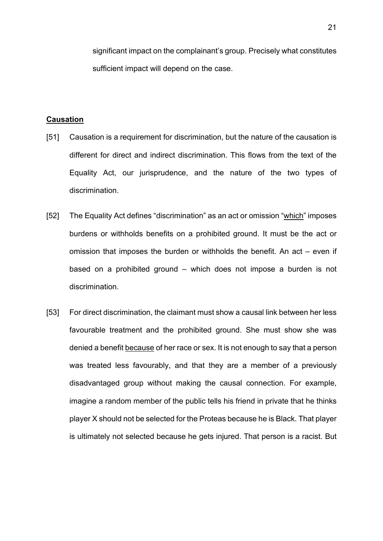significant impact on the complainant's group. Precisely what constitutes sufficient impact will depend on the case.

# <span id="page-20-0"></span>**Causation**

- [51] Causation is a requirement for discrimination, but the nature of the causation is different for direct and indirect discrimination. This flows from the text of the Equality Act, our jurisprudence, and the nature of the two types of discrimination.
- [52] The Equality Act defines "discrimination" as an act or omission "which" imposes burdens or withholds benefits on a prohibited ground. It must be the act or omission that imposes the burden or withholds the benefit. An act – even if based on a prohibited ground – which does not impose a burden is not discrimination.
- [53] For direct discrimination, the claimant must show a causal link between her less favourable treatment and the prohibited ground. She must show she was denied a benefit because of her race or sex. It is not enough to say that a person was treated less favourably, and that they are a member of a previously disadvantaged group without making the causal connection. For example, imagine a random member of the public tells his friend in private that he thinks player X should not be selected for the Proteas because he is Black. That player is ultimately not selected because he gets injured. That person is a racist. But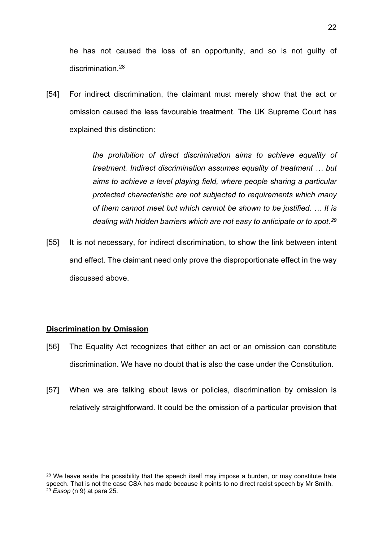he has not caused the loss of an opportunity, and so is not guilty of discrimination<sup>[28](#page-21-1)</sup>

[54] For indirect discrimination, the claimant must merely show that the act or omission caused the less favourable treatment. The UK Supreme Court has explained this distinction:

> *the prohibition of direct discrimination aims to achieve equality of treatment. Indirect discrimination assumes equality of treatment … but aims to achieve a level playing field, where people sharing a particular protected characteristic are not subjected to requirements which many of them cannot meet but which cannot be shown to be justified. … It is dealing with hidden barriers which are not easy to anticipate or to spot.[29](#page-21-2)*

[55] It is not necessary, for indirect discrimination, to show the link between intent and effect. The claimant need only prove the disproportionate effect in the way discussed above.

#### <span id="page-21-0"></span>**Discrimination by Omission**

- [56] The Equality Act recognizes that either an act or an omission can constitute discrimination. We have no doubt that is also the case under the Constitution.
- [57] When we are talking about laws or policies, discrimination by omission is relatively straightforward. It could be the omission of a particular provision that

<span id="page-21-2"></span><span id="page-21-1"></span><sup>&</sup>lt;sup>28</sup> We leave aside the possibility that the speech itself may impose a burden, or may constitute hate speech. That is not the case CSA has made because it points to no direct racist speech by Mr Smith. <sup>29</sup> *Essop* (n [9\)](#page-14-8) at para 25.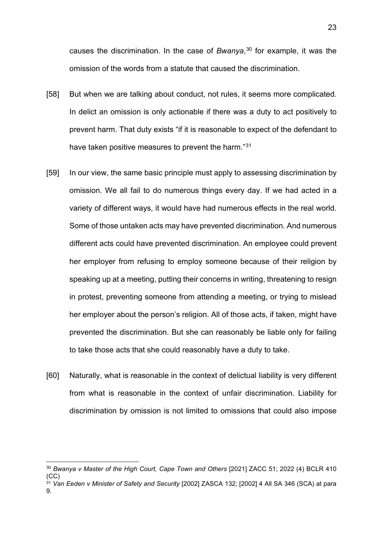causes the discrimination. In the case of *Bwanya*, [30](#page-22-0) for example, it was the omission of the words from a statute that caused the discrimination.

- [58] But when we are talking about conduct, not rules, it seems more complicated. In delict an omission is only actionable if there was a duty to act positively to prevent harm. That duty exists "if it is reasonable to expect of the defendant to have taken positive measures to prevent the harm."[31](#page-22-1)
- [59] In our view, the same basic principle must apply to assessing discrimination by omission. We all fail to do numerous things every day. If we had acted in a variety of different ways, it would have had numerous effects in the real world. Some of those untaken acts may have prevented discrimination. And numerous different acts could have prevented discrimination. An employee could prevent her employer from refusing to employ someone because of their religion by speaking up at a meeting, putting their concerns in writing, threatening to resign in protest, preventing someone from attending a meeting, or trying to mislead her employer about the person's religion. All of those acts, if taken, might have prevented the discrimination. But she can reasonably be liable only for failing to take those acts that she could reasonably have a duty to take.
- [60] Naturally, what is reasonable in the context of delictual liability is very different from what is reasonable in the context of unfair discrimination. Liability for discrimination by omission is not limited to omissions that could also impose

<span id="page-22-0"></span><sup>30</sup> *Bwanya v Master of the High Court, Cape Town and Others* [2021] ZACC 51; 2022 (4) BCLR 410  $(CC)$ 

<span id="page-22-1"></span><sup>31</sup> *Van Eeden v Minister of Safety and Security* [2002] ZASCA 132; [2002] 4 All SA 346 (SCA) at para 9.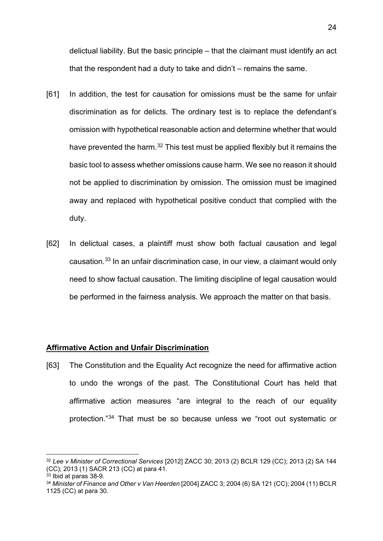delictual liability. But the basic principle – that the claimant must identify an act that the respondent had a duty to take and didn't – remains the same.

- [61] In addition, the test for causation for omissions must be the same for unfair discrimination as for delicts. The ordinary test is to replace the defendant's omission with hypothetical reasonable action and determine whether that would have prevented the harm.<sup>[32](#page-23-1)</sup> This test must be applied flexibly but it remains the basic tool to assess whether omissions cause harm. We see no reason it should not be applied to discrimination by omission. The omission must be imagined away and replaced with hypothetical positive conduct that complied with the duty.
- [62] In delictual cases, a plaintiff must show both factual causation and legal causation.[33](#page-23-2) In an unfair discrimination case, in our view, a claimant would only need to show factual causation. The limiting discipline of legal causation would be performed in the fairness analysis. We approach the matter on that basis.

#### <span id="page-23-0"></span>**Affirmative Action and Unfair Discrimination**

[63] The Constitution and the Equality Act recognize the need for affirmative action to undo the wrongs of the past. The Constitutional Court has held that affirmative action measures "are integral to the reach of our equality protection."[34](#page-23-3) That must be so because unless we "root out systematic or

<span id="page-23-1"></span><sup>32</sup> *Lee v Minister of Correctional Services* [2012] ZACC 30; 2013 (2) BCLR 129 (CC); 2013 (2) SA 144 (CC); 2013 (1) SACR 213 (CC) at para 41.

<span id="page-23-2"></span><sup>33</sup> Ibid at paras 38-9.

<span id="page-23-3"></span><sup>34</sup> *Minister of Finance and Other v Van Heerden* [2004] ZACC 3; 2004 (6) SA 121 (CC); 2004 (11) BCLR 1125 (CC) at para 30.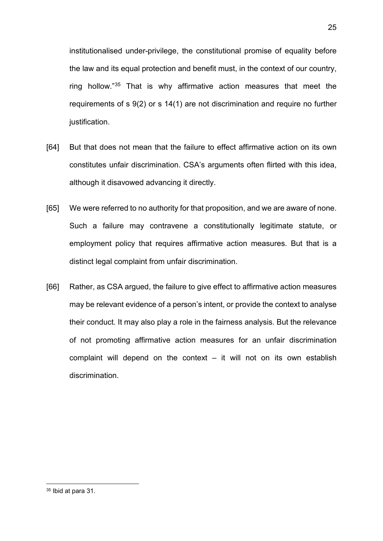institutionalised under-privilege, the constitutional promise of equality before the law and its equal protection and benefit must, in the context of our country, ring hollow."[35](#page-24-0) That is why affirmative action measures that meet the requirements of s 9(2) or s 14(1) are not discrimination and require no further justification.

- [64] But that does not mean that the failure to effect affirmative action on its own constitutes unfair discrimination. CSA's arguments often flirted with this idea, although it disavowed advancing it directly.
- [65] We were referred to no authority for that proposition, and we are aware of none. Such a failure may contravene a constitutionally legitimate statute, or employment policy that requires affirmative action measures. But that is a distinct legal complaint from unfair discrimination.
- [66] Rather, as CSA argued, the failure to give effect to affirmative action measures may be relevant evidence of a person's intent, or provide the context to analyse their conduct. It may also play a role in the fairness analysis. But the relevance of not promoting affirmative action measures for an unfair discrimination complaint will depend on the context  $-$  it will not on its own establish discrimination.

<span id="page-24-0"></span><sup>35</sup> Ibid at para 31.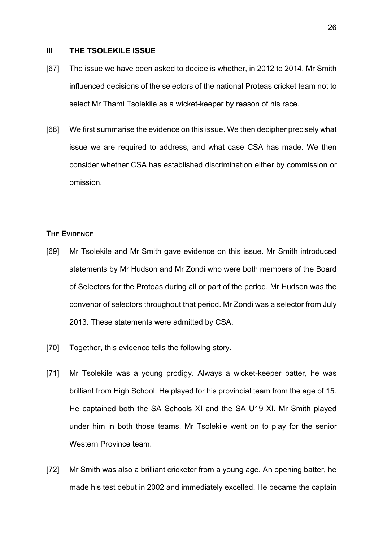#### <span id="page-25-0"></span>**III THE TSOLEKILE ISSUE**

- [67] The issue we have been asked to decide is whether, in 2012 to 2014, Mr Smith influenced decisions of the selectors of the national Proteas cricket team not to select Mr Thami Tsolekile as a wicket-keeper by reason of his race.
- [68] We first summarise the evidence on this issue. We then decipher precisely what issue we are required to address, and what case CSA has made. We then consider whether CSA has established discrimination either by commission or omission.

#### <span id="page-25-1"></span>**THE EVIDENCE**

- [69] Mr Tsolekile and Mr Smith gave evidence on this issue. Mr Smith introduced statements by Mr Hudson and Mr Zondi who were both members of the Board of Selectors for the Proteas during all or part of the period. Mr Hudson was the convenor of selectors throughout that period. Mr Zondi was a selector from July 2013. These statements were admitted by CSA.
- [70] Together, this evidence tells the following story.
- [71] Mr Tsolekile was a young prodigy. Always a wicket-keeper batter, he was brilliant from High School. He played for his provincial team from the age of 15. He captained both the SA Schools XI and the SA U19 XI. Mr Smith played under him in both those teams. Mr Tsolekile went on to play for the senior Western Province team.
- [72] Mr Smith was also a brilliant cricketer from a young age. An opening batter, he made his test debut in 2002 and immediately excelled. He became the captain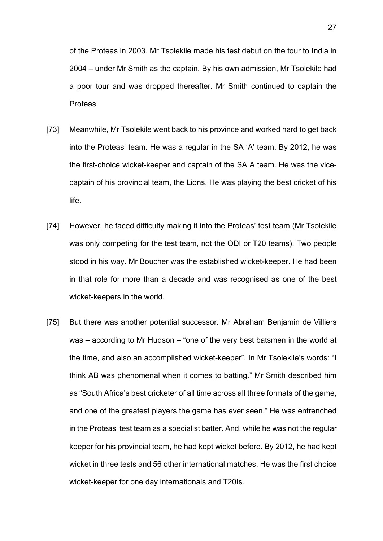of the Proteas in 2003. Mr Tsolekile made his test debut on the tour to India in 2004 – under Mr Smith as the captain. By his own admission, Mr Tsolekile had a poor tour and was dropped thereafter. Mr Smith continued to captain the Proteas.

- [73] Meanwhile, Mr Tsolekile went back to his province and worked hard to get back into the Proteas' team. He was a regular in the SA 'A' team. By 2012, he was the first-choice wicket-keeper and captain of the SA A team. He was the vicecaptain of his provincial team, the Lions. He was playing the best cricket of his life.
- [74] However, he faced difficulty making it into the Proteas' test team (Mr Tsolekile was only competing for the test team, not the ODI or T20 teams). Two people stood in his way. Mr Boucher was the established wicket-keeper. He had been in that role for more than a decade and was recognised as one of the best wicket-keepers in the world.
- [75] But there was another potential successor. Mr Abraham Benjamin de Villiers was – according to Mr Hudson – "one of the very best batsmen in the world at the time, and also an accomplished wicket-keeper". In Mr Tsolekile's words: "I think AB was phenomenal when it comes to batting." Mr Smith described him as "South Africa's best cricketer of all time across all three formats of the game, and one of the greatest players the game has ever seen." He was entrenched in the Proteas' test team as a specialist batter. And, while he was not the regular keeper for his provincial team, he had kept wicket before. By 2012, he had kept wicket in three tests and 56 other international matches. He was the first choice wicket-keeper for one day internationals and T20Is.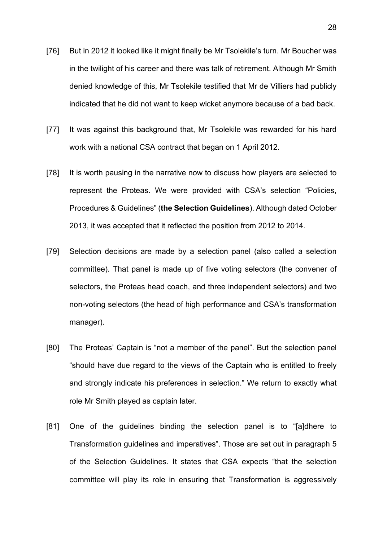- [76] But in 2012 it looked like it might finally be Mr Tsolekile's turn. Mr Boucher was in the twilight of his career and there was talk of retirement. Although Mr Smith denied knowledge of this, Mr Tsolekile testified that Mr de Villiers had publicly indicated that he did not want to keep wicket anymore because of a bad back.
- [77] It was against this background that, Mr Tsolekile was rewarded for his hard work with a national CSA contract that began on 1 April 2012.
- [78] It is worth pausing in the narrative now to discuss how players are selected to represent the Proteas. We were provided with CSA's selection "Policies, Procedures & Guidelines" (**the Selection Guidelines**). Although dated October 2013, it was accepted that it reflected the position from 2012 to 2014.
- [79] Selection decisions are made by a selection panel (also called a selection committee). That panel is made up of five voting selectors (the convener of selectors, the Proteas head coach, and three independent selectors) and two non-voting selectors (the head of high performance and CSA's transformation manager).
- [80] The Proteas' Captain is "not a member of the panel". But the selection panel "should have due regard to the views of the Captain who is entitled to freely and strongly indicate his preferences in selection." We return to exactly what role Mr Smith played as captain later.
- [81] One of the guidelines binding the selection panel is to "[a]dhere to Transformation guidelines and imperatives". Those are set out in paragraph 5 of the Selection Guidelines. It states that CSA expects "that the selection committee will play its role in ensuring that Transformation is aggressively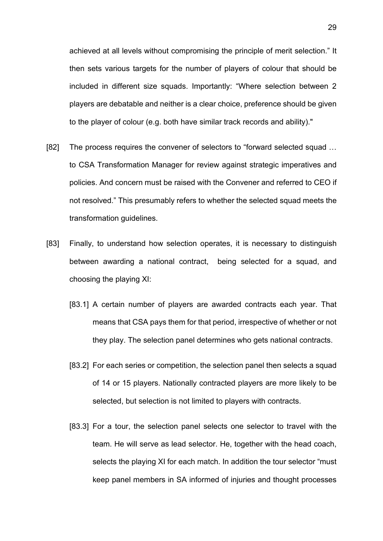achieved at all levels without compromising the principle of merit selection." It then sets various targets for the number of players of colour that should be included in different size squads. Importantly: "Where selection between 2 players are debatable and neither is a clear choice, preference should be given to the player of colour (e.g. both have similar track records and ability)."

- [82] The process requires the convener of selectors to "forward selected squad … to CSA Transformation Manager for review against strategic imperatives and policies. And concern must be raised with the Convener and referred to CEO if not resolved." This presumably refers to whether the selected squad meets the transformation guidelines.
- [83] Finally, to understand how selection operates, it is necessary to distinguish between awarding a national contract, being selected for a squad, and choosing the playing XI:
	- [83.1] A certain number of players are awarded contracts each year. That means that CSA pays them for that period, irrespective of whether or not they play. The selection panel determines who gets national contracts.
	- [83.2] For each series or competition, the selection panel then selects a squad of 14 or 15 players. Nationally contracted players are more likely to be selected, but selection is not limited to players with contracts.
	- [83.3] For a tour, the selection panel selects one selector to travel with the team. He will serve as lead selector. He, together with the head coach, selects the playing XI for each match. In addition the tour selector "must keep panel members in SA informed of injuries and thought processes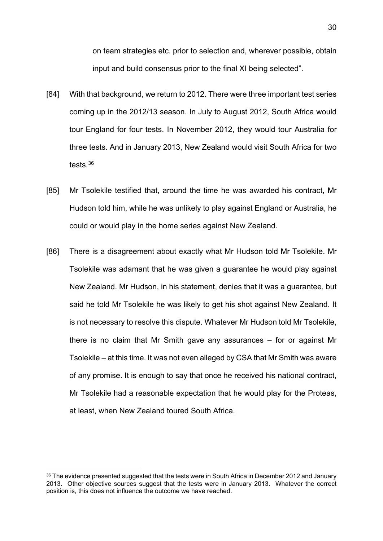on team strategies etc. prior to selection and, wherever possible, obtain input and build consensus prior to the final XI being selected".

- [84] With that background, we return to 2012. There were three important test series coming up in the 2012/13 season. In July to August 2012, South Africa would tour England for four tests. In November 2012, they would tour Australia for three tests. And in January 2013, New Zealand would visit South Africa for two tests.[36](#page-29-0)
- [85] Mr Tsolekile testified that, around the time he was awarded his contract, Mr Hudson told him, while he was unlikely to play against England or Australia, he could or would play in the home series against New Zealand.
- [86] There is a disagreement about exactly what Mr Hudson told Mr Tsolekile. Mr Tsolekile was adamant that he was given a guarantee he would play against New Zealand. Mr Hudson, in his statement, denies that it was a guarantee, but said he told Mr Tsolekile he was likely to get his shot against New Zealand. It is not necessary to resolve this dispute. Whatever Mr Hudson told Mr Tsolekile, there is no claim that Mr Smith gave any assurances – for or against Mr Tsolekile – at this time. It was not even alleged by CSA that Mr Smith was aware of any promise. It is enough to say that once he received his national contract, Mr Tsolekile had a reasonable expectation that he would play for the Proteas, at least, when New Zealand toured South Africa.

<span id="page-29-0"></span><sup>&</sup>lt;sup>36</sup> The evidence presented suggested that the tests were in South Africa in December 2012 and January 2013. Other objective sources suggest that the tests were in January 2013. Whatever the correct position is, this does not influence the outcome we have reached.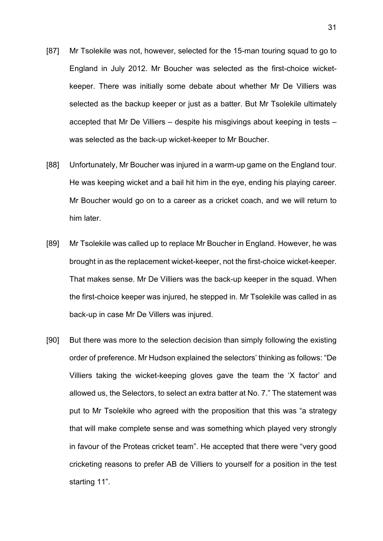- [87] Mr Tsolekile was not, however, selected for the 15-man touring squad to go to England in July 2012. Mr Boucher was selected as the first-choice wicketkeeper. There was initially some debate about whether Mr De Villiers was selected as the backup keeper or just as a batter. But Mr Tsolekile ultimately accepted that Mr De Villiers – despite his misgivings about keeping in tests – was selected as the back-up wicket-keeper to Mr Boucher.
- [88] Unfortunately, Mr Boucher was injured in a warm-up game on the England tour. He was keeping wicket and a bail hit him in the eye, ending his playing career. Mr Boucher would go on to a career as a cricket coach, and we will return to him later.
- [89] Mr Tsolekile was called up to replace Mr Boucher in England. However, he was brought in as the replacement wicket-keeper, not the first-choice wicket-keeper. That makes sense. Mr De Villiers was the back-up keeper in the squad. When the first-choice keeper was injured, he stepped in. Mr Tsolekile was called in as back-up in case Mr De Villers was injured.
- [90] But there was more to the selection decision than simply following the existing order of preference. Mr Hudson explained the selectors' thinking as follows: "De Villiers taking the wicket-keeping gloves gave the team the 'X factor' and allowed us, the Selectors, to select an extra batter at No. 7." The statement was put to Mr Tsolekile who agreed with the proposition that this was "a strategy that will make complete sense and was something which played very strongly in favour of the Proteas cricket team". He accepted that there were "very good cricketing reasons to prefer AB de Villiers to yourself for a position in the test starting 11".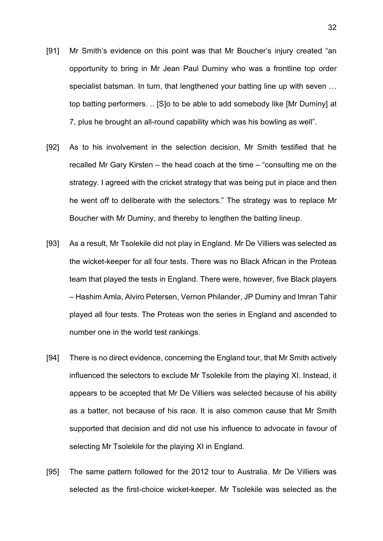- [91] Mr Smith's evidence on this point was that Mr Boucher's injury created "an opportunity to bring in Mr Jean Paul Duminy who was a frontline top order specialist batsman. In turn, that lengthened your batting line up with seven … top batting performers. .. [S]o to be able to add somebody like [Mr Duminy] at 7, plus he brought an all-round capability which was his bowling as well".
- [92] As to his involvement in the selection decision, Mr Smith testified that he recalled Mr Gary Kirsten – the head coach at the time – "consulting me on the strategy. I agreed with the cricket strategy that was being put in place and then he went off to deliberate with the selectors." The strategy was to replace Mr Boucher with Mr Duminy, and thereby to lengthen the batting lineup.
- [93] As a result, Mr Tsolekile did not play in England. Mr De Villiers was selected as the wicket-keeper for all four tests. There was no Black African in the Proteas team that played the tests in England. There were, however, five Black players – Hashim Amla, Alviro Petersen, Vernon Philander, JP Duminy and Imran Tahir played all four tests. The Proteas won the series in England and ascended to number one in the world test rankings.
- [94] There is no direct evidence, concerning the England tour, that Mr Smith actively influenced the selectors to exclude Mr Tsolekile from the playing XI. Instead, it appears to be accepted that Mr De Villiers was selected because of his ability as a batter, not because of his race. It is also common cause that Mr Smith supported that decision and did not use his influence to advocate in favour of selecting Mr Tsolekile for the playing XI in England.
- [95] The same pattern followed for the 2012 tour to Australia. Mr De Villiers was selected as the first-choice wicket-keeper. Mr Tsolekile was selected as the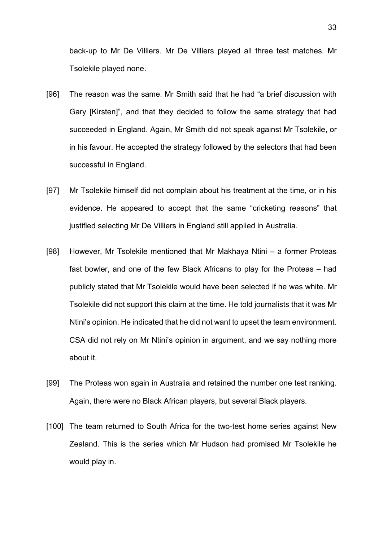back-up to Mr De Villiers. Mr De Villiers played all three test matches. Mr Tsolekile played none.

- [96] The reason was the same. Mr Smith said that he had "a brief discussion with Gary [Kirsten]", and that they decided to follow the same strategy that had succeeded in England. Again, Mr Smith did not speak against Mr Tsolekile, or in his favour. He accepted the strategy followed by the selectors that had been successful in England.
- [97] Mr Tsolekile himself did not complain about his treatment at the time, or in his evidence. He appeared to accept that the same "cricketing reasons" that justified selecting Mr De Villiers in England still applied in Australia.
- [98] However, Mr Tsolekile mentioned that Mr Makhaya Ntini a former Proteas fast bowler, and one of the few Black Africans to play for the Proteas – had publicly stated that Mr Tsolekile would have been selected if he was white. Mr Tsolekile did not support this claim at the time. He told journalists that it was Mr Ntini's opinion. He indicated that he did not want to upset the team environment. CSA did not rely on Mr Ntini's opinion in argument, and we say nothing more about it.
- [99] The Proteas won again in Australia and retained the number one test ranking. Again, there were no Black African players, but several Black players.
- [100] The team returned to South Africa for the two-test home series against New Zealand. This is the series which Mr Hudson had promised Mr Tsolekile he would play in.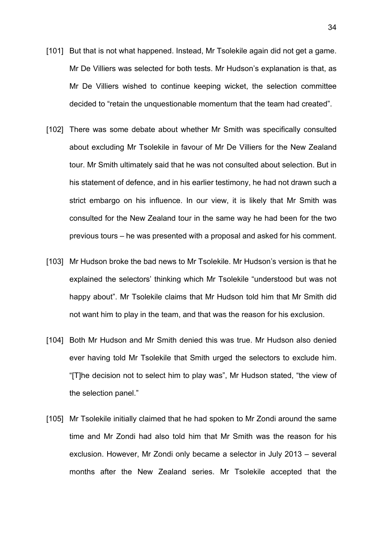- [101] But that is not what happened. Instead, Mr Tsolekile again did not get a game. Mr De Villiers was selected for both tests. Mr Hudson's explanation is that, as Mr De Villiers wished to continue keeping wicket, the selection committee decided to "retain the unquestionable momentum that the team had created".
- [102] There was some debate about whether Mr Smith was specifically consulted about excluding Mr Tsolekile in favour of Mr De Villiers for the New Zealand tour. Mr Smith ultimately said that he was not consulted about selection. But in his statement of defence, and in his earlier testimony, he had not drawn such a strict embargo on his influence. In our view, it is likely that Mr Smith was consulted for the New Zealand tour in the same way he had been for the two previous tours – he was presented with a proposal and asked for his comment.
- [103] Mr Hudson broke the bad news to Mr Tsolekile. Mr Hudson's version is that he explained the selectors' thinking which Mr Tsolekile "understood but was not happy about". Mr Tsolekile claims that Mr Hudson told him that Mr Smith did not want him to play in the team, and that was the reason for his exclusion.
- [104] Both Mr Hudson and Mr Smith denied this was true. Mr Hudson also denied ever having told Mr Tsolekile that Smith urged the selectors to exclude him. "[T]he decision not to select him to play was", Mr Hudson stated, "the view of the selection panel."
- [105] Mr Tsolekile initially claimed that he had spoken to Mr Zondi around the same time and Mr Zondi had also told him that Mr Smith was the reason for his exclusion. However, Mr Zondi only became a selector in July 2013 – several months after the New Zealand series. Mr Tsolekile accepted that the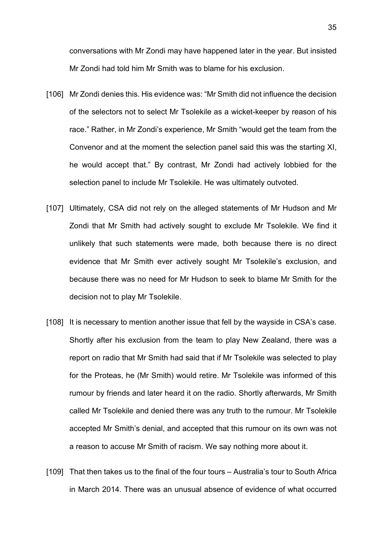conversations with Mr Zondi may have happened later in the year. But insisted Mr Zondi had told him Mr Smith was to blame for his exclusion.

- [106] Mr Zondi denies this. His evidence was: "Mr Smith did not influence the decision of the selectors not to select Mr Tsolekile as a wicket-keeper by reason of his race." Rather, in Mr Zondi's experience, Mr Smith "would get the team from the Convenor and at the moment the selection panel said this was the starting XI, he would accept that." By contrast, Mr Zondi had actively lobbied for the selection panel to include Mr Tsolekile. He was ultimately outvoted.
- [107] Ultimately, CSA did not rely on the alleged statements of Mr Hudson and Mr Zondi that Mr Smith had actively sought to exclude Mr Tsolekile. We find it unlikely that such statements were made, both because there is no direct evidence that Mr Smith ever actively sought Mr Tsolekile's exclusion, and because there was no need for Mr Hudson to seek to blame Mr Smith for the decision not to play Mr Tsolekile.
- [108] It is necessary to mention another issue that fell by the wayside in CSA's case. Shortly after his exclusion from the team to play New Zealand, there was a report on radio that Mr Smith had said that if Mr Tsolekile was selected to play for the Proteas, he (Mr Smith) would retire. Mr Tsolekile was informed of this rumour by friends and later heard it on the radio. Shortly afterwards, Mr Smith called Mr Tsolekile and denied there was any truth to the rumour. Mr Tsolekile accepted Mr Smith's denial, and accepted that this rumour on its own was not a reason to accuse Mr Smith of racism. We say nothing more about it.
- [109] That then takes us to the final of the four tours Australia's tour to South Africa in March 2014. There was an unusual absence of evidence of what occurred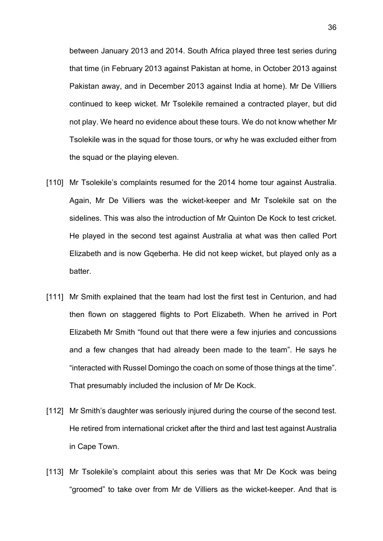between January 2013 and 2014. South Africa played three test series during that time (in February 2013 against Pakistan at home, in October 2013 against Pakistan away, and in December 2013 against India at home). Mr De Villiers continued to keep wicket. Mr Tsolekile remained a contracted player, but did not play. We heard no evidence about these tours. We do not know whether Mr Tsolekile was in the squad for those tours, or why he was excluded either from the squad or the playing eleven.

- [110] Mr Tsolekile's complaints resumed for the 2014 home tour against Australia. Again, Mr De Villiers was the wicket-keeper and Mr Tsolekile sat on the sidelines. This was also the introduction of Mr Quinton De Kock to test cricket. He played in the second test against Australia at what was then called Port Elizabeth and is now Gqeberha. He did not keep wicket, but played only as a batter.
- [111] Mr Smith explained that the team had lost the first test in Centurion, and had then flown on staggered flights to Port Elizabeth. When he arrived in Port Elizabeth Mr Smith "found out that there were a few injuries and concussions and a few changes that had already been made to the team". He says he "interacted with Russel Domingo the coach on some of those things at the time". That presumably included the inclusion of Mr De Kock.
- [112] Mr Smith's daughter was seriously injured during the course of the second test. He retired from international cricket after the third and last test against Australia in Cape Town.
- [113] Mr Tsolekile's complaint about this series was that Mr De Kock was being "groomed" to take over from Mr de Villiers as the wicket-keeper. And that is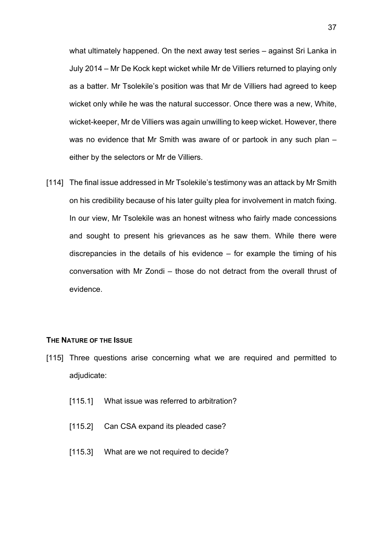what ultimately happened. On the next away test series – against Sri Lanka in July 2014 – Mr De Kock kept wicket while Mr de Villiers returned to playing only as a batter. Mr Tsolekile's position was that Mr de Villiers had agreed to keep wicket only while he was the natural successor. Once there was a new, White, wicket-keeper, Mr de Villiers was again unwilling to keep wicket. However, there was no evidence that Mr Smith was aware of or partook in any such plan – either by the selectors or Mr de Villiers.

[114] The final issue addressed in Mr Tsolekile's testimony was an attack by Mr Smith on his credibility because of his later guilty plea for involvement in match fixing. In our view, Mr Tsolekile was an honest witness who fairly made concessions and sought to present his grievances as he saw them. While there were discrepancies in the details of his evidence – for example the timing of his conversation with Mr Zondi – those do not detract from the overall thrust of evidence.

### **THE NATURE OF THE ISSUE**

- [115] Three questions arise concerning what we are required and permitted to adjudicate:
	- [115.1] What issue was referred to arbitration?
	- [115.2] Can CSA expand its pleaded case?
	- [115.3] What are we not required to decide?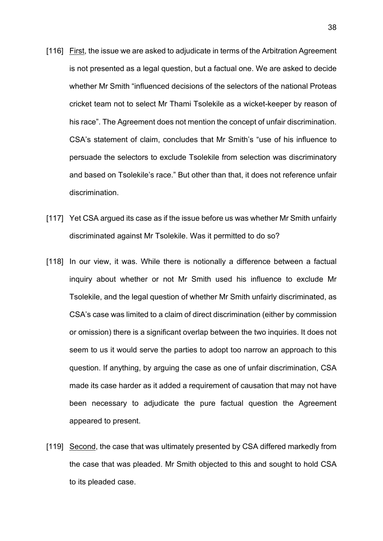- [116] First, the issue we are asked to adjudicate in terms of the Arbitration Agreement is not presented as a legal question, but a factual one. We are asked to decide whether Mr Smith "influenced decisions of the selectors of the national Proteas cricket team not to select Mr Thami Tsolekile as a wicket-keeper by reason of his race". The Agreement does not mention the concept of unfair discrimination. CSA's statement of claim, concludes that Mr Smith's "use of his influence to persuade the selectors to exclude Tsolekile from selection was discriminatory and based on Tsolekile's race." But other than that, it does not reference unfair discrimination.
- [117] Yet CSA argued its case as if the issue before us was whether Mr Smith unfairly discriminated against Mr Tsolekile. Was it permitted to do so?
- [118] In our view, it was. While there is notionally a difference between a factual inquiry about whether or not Mr Smith used his influence to exclude Mr Tsolekile, and the legal question of whether Mr Smith unfairly discriminated, as CSA's case was limited to a claim of direct discrimination (either by commission or omission) there is a significant overlap between the two inquiries. It does not seem to us it would serve the parties to adopt too narrow an approach to this question. If anything, by arguing the case as one of unfair discrimination, CSA made its case harder as it added a requirement of causation that may not have been necessary to adjudicate the pure factual question the Agreement appeared to present.
- [119] Second, the case that was ultimately presented by CSA differed markedly from the case that was pleaded. Mr Smith objected to this and sought to hold CSA to its pleaded case.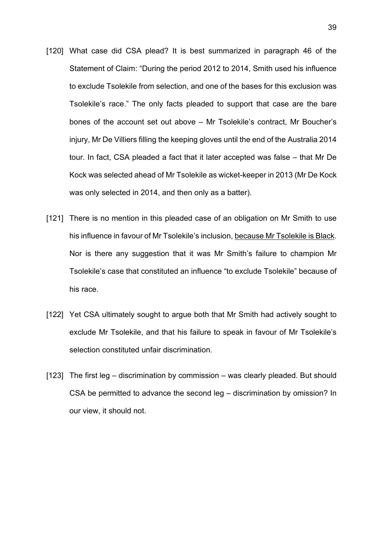- [120] What case did CSA plead? It is best summarized in paragraph 46 of the Statement of Claim: "During the period 2012 to 2014, Smith used his influence to exclude Tsolekile from selection, and one of the bases for this exclusion was Tsolekile's race." The only facts pleaded to support that case are the bare bones of the account set out above – Mr Tsolekile's contract, Mr Boucher's injury, Mr De Villiers filling the keeping gloves until the end of the Australia 2014 tour. In fact, CSA pleaded a fact that it later accepted was false – that Mr De Kock was selected ahead of Mr Tsolekile as wicket-keeper in 2013 (Mr De Kock was only selected in 2014, and then only as a batter).
- [121] There is no mention in this pleaded case of an obligation on Mr Smith to use his influence in favour of Mr Tsolekile's inclusion, because Mr Tsolekile is Black. Nor is there any suggestion that it was Mr Smith's failure to champion Mr Tsolekile's case that constituted an influence "to exclude Tsolekile" because of his race.
- [122] Yet CSA ultimately sought to argue both that Mr Smith had actively sought to exclude Mr Tsolekile, and that his failure to speak in favour of Mr Tsolekile's selection constituted unfair discrimination.
- [123] The first leg discrimination by commission was clearly pleaded. But should CSA be permitted to advance the second leg – discrimination by omission? In our view, it should not.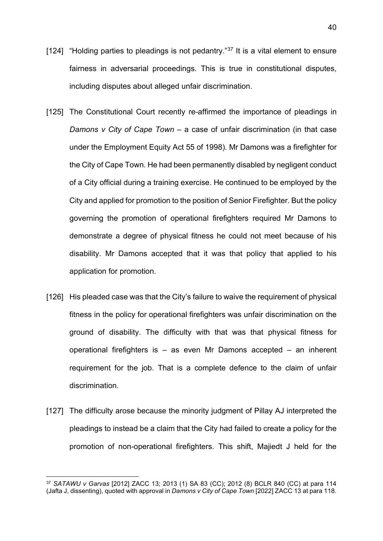- [124] "Holding parties to pleadings is not pedantry." $37$  It is a vital element to ensure fairness in adversarial proceedings. This is true in constitutional disputes, including disputes about alleged unfair discrimination.
- [125] The Constitutional Court recently re-affirmed the importance of pleadings in *Damons v City of Cape Town* – a case of unfair discrimination (in that case under the Employment Equity Act 55 of 1998). Mr Damons was a firefighter for the City of Cape Town. He had been permanently disabled by negligent conduct of a City official during a training exercise. He continued to be employed by the City and applied for promotion to the position of Senior Firefighter. But the policy governing the promotion of operational firefighters required Mr Damons to demonstrate a degree of physical fitness he could not meet because of his disability. Mr Damons accepted that it was that policy that applied to his application for promotion.
- [126] His pleaded case was that the City's failure to waive the requirement of physical fitness in the policy for operational firefighters was unfair discrimination on the ground of disability. The difficulty with that was that physical fitness for operational firefighters is – as even Mr Damons accepted – an inherent requirement for the job. That is a complete defence to the claim of unfair discrimination.
- [127] The difficulty arose because the minority judgment of Pillay AJ interpreted the pleadings to instead be a claim that the City had failed to create a policy for the promotion of non-operational firefighters. This shift, Majiedt J held for the

<span id="page-39-0"></span><sup>37</sup> *SATAWU v Garvas* [2012] ZACC 13; 2013 (1) SA 83 (CC); 2012 (8) BCLR 840 (CC) at para 114 (Jafta J, dissenting), quoted with approval in *Damons v City of Cape Town* [2022] ZACC 13 at para 118.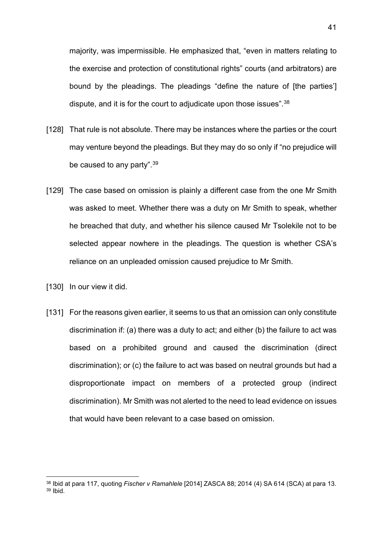majority, was impermissible. He emphasized that, "even in matters relating to the exercise and protection of constitutional rights" courts (and arbitrators) are bound by the pleadings. The pleadings "define the nature of [the parties'] dispute, and it is for the court to adjudicate upon those issues".<sup>[38](#page-40-0)</sup>

- [128] That rule is not absolute. There may be instances where the parties or the court may venture beyond the pleadings. But they may do so only if "no prejudice will be caused to any party".<sup>[39](#page-40-1)</sup>
- [129] The case based on omission is plainly a different case from the one Mr Smith was asked to meet. Whether there was a duty on Mr Smith to speak, whether he breached that duty, and whether his silence caused Mr Tsolekile not to be selected appear nowhere in the pleadings. The question is whether CSA's reliance on an unpleaded omission caused prejudice to Mr Smith.
- [130] In our view it did.
- [131] For the reasons given earlier, it seems to us that an omission can only constitute discrimination if: (a) there was a duty to act; and either (b) the failure to act was based on a prohibited ground and caused the discrimination (direct discrimination); or (c) the failure to act was based on neutral grounds but had a disproportionate impact on members of a protected group (indirect discrimination). Mr Smith was not alerted to the need to lead evidence on issues that would have been relevant to a case based on omission.

<span id="page-40-1"></span><span id="page-40-0"></span><sup>38</sup> Ibid at para 117, quoting *Fischer v Ramahlele* [2014] ZASCA 88; 2014 (4) SA 614 (SCA) at para 13. <sup>39</sup> Ibid.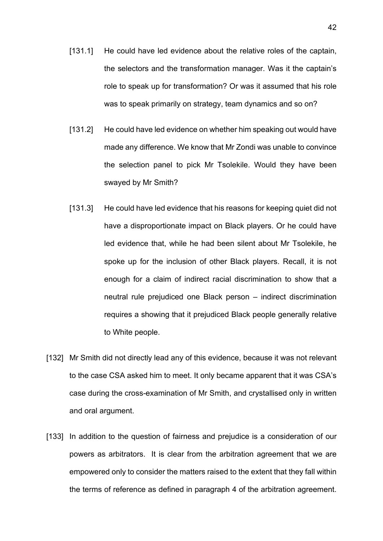- [131.1] He could have led evidence about the relative roles of the captain, the selectors and the transformation manager. Was it the captain's role to speak up for transformation? Or was it assumed that his role was to speak primarily on strategy, team dynamics and so on?
- [131.2] He could have led evidence on whether him speaking out would have made any difference. We know that Mr Zondi was unable to convince the selection panel to pick Mr Tsolekile. Would they have been swayed by Mr Smith?
- [131.3] He could have led evidence that his reasons for keeping quiet did not have a disproportionate impact on Black players. Or he could have led evidence that, while he had been silent about Mr Tsolekile, he spoke up for the inclusion of other Black players. Recall, it is not enough for a claim of indirect racial discrimination to show that a neutral rule prejudiced one Black person – indirect discrimination requires a showing that it prejudiced Black people generally relative to White people.
- [132] Mr Smith did not directly lead any of this evidence, because it was not relevant to the case CSA asked him to meet. It only became apparent that it was CSA's case during the cross-examination of Mr Smith, and crystallised only in written and oral argument.
- [133] In addition to the question of fairness and prejudice is a consideration of our powers as arbitrators. It is clear from the arbitration agreement that we are empowered only to consider the matters raised to the extent that they fall within the terms of reference as defined in paragraph 4 of the arbitration agreement.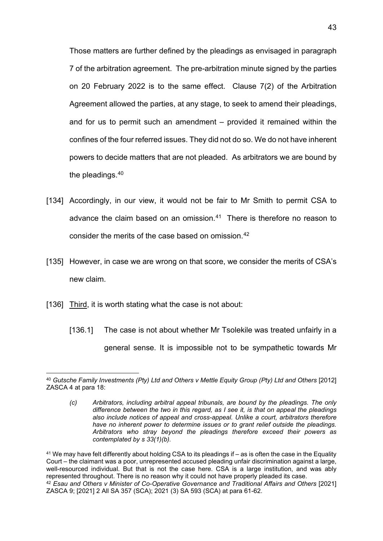Those matters are further defined by the pleadings as envisaged in paragraph 7 of the arbitration agreement. The pre-arbitration minute signed by the parties on 20 February 2022 is to the same effect. Clause 7(2) of the Arbitration Agreement allowed the parties, at any stage, to seek to amend their pleadings, and for us to permit such an amendment – provided it remained within the confines of the four referred issues. They did not do so. We do not have inherent powers to decide matters that are not pleaded. As arbitrators we are bound by the pleadings.[40](#page-42-0)

- [134] Accordingly, in our view, it would not be fair to Mr Smith to permit CSA to advance the claim based on an omission.<sup>[41](#page-42-1)</sup> There is therefore no reason to consider the merits of the case based on omission.[42](#page-42-2)
- [135] However, in case we are wrong on that score, we consider the merits of CSA's new claim.
- [136] Third, it is worth stating what the case is not about:
	- [136.1] The case is not about whether Mr Tsolekile was treated unfairly in a general sense. It is impossible not to be sympathetic towards Mr

<span id="page-42-2"></span><span id="page-42-1"></span><sup>41</sup> We may have felt differently about holding CSA to its pleadings if – as is often the case in the Equality Court – the claimant was a poor, unrepresented accused pleading unfair discrimination against a large, well-resourced individual. But that is not the case here. CSA is a large institution, and was ably represented throughout. There is no reason why it could not have properly pleaded its case. <sup>42</sup> *Esau and Others v Minister of Co-Operative Governance and Traditional Affairs and Others* [2021] ZASCA 9; [2021] 2 All SA 357 (SCA); 2021 (3) SA 593 (SCA) at para 61-62.

<span id="page-42-0"></span><sup>40</sup> *Gutsche Family Investments (Pty) Ltd and Others v Mettle Equity Group (Pty) Ltd and Others* [2012] ZASCA 4 at para 18:

*<sup>(</sup>c) Arbitrators, including arbitral appeal tribunals, are bound by the pleadings. The only difference between the two in this regard, as I see it, is that on appeal the pleadings also include notices of appeal and cross-appeal. Unlike a court, arbitrators therefore have no inherent power to determine issues or to grant relief outside the pleadings. Arbitrators who stray beyond the pleadings therefore exceed their powers as contemplated by s 33(1)(b).*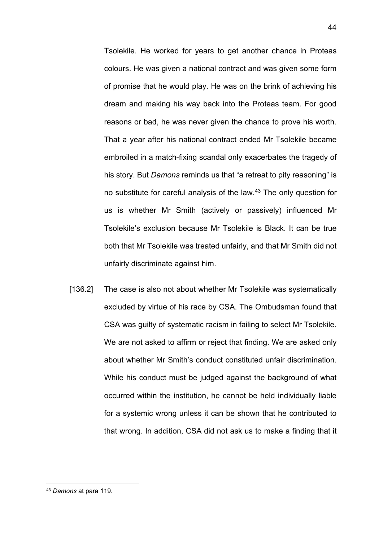Tsolekile. He worked for years to get another chance in Proteas colours. He was given a national contract and was given some form of promise that he would play. He was on the brink of achieving his dream and making his way back into the Proteas team. For good reasons or bad, he was never given the chance to prove his worth. That a year after his national contract ended Mr Tsolekile became embroiled in a match-fixing scandal only exacerbates the tragedy of his story. But *Damons* reminds us that "a retreat to pity reasoning" is no substitute for careful analysis of the law[.43](#page-43-0) The only question for us is whether Mr Smith (actively or passively) influenced Mr Tsolekile's exclusion because Mr Tsolekile is Black. It can be true both that Mr Tsolekile was treated unfairly, and that Mr Smith did not unfairly discriminate against him.

[136.2] The case is also not about whether Mr Tsolekile was systematically excluded by virtue of his race by CSA. The Ombudsman found that CSA was guilty of systematic racism in failing to select Mr Tsolekile. We are not asked to affirm or reject that finding. We are asked only about whether Mr Smith's conduct constituted unfair discrimination. While his conduct must be judged against the background of what occurred within the institution, he cannot be held individually liable for a systemic wrong unless it can be shown that he contributed to that wrong. In addition, CSA did not ask us to make a finding that it

<span id="page-43-0"></span><sup>43</sup> *Damons* at para 119.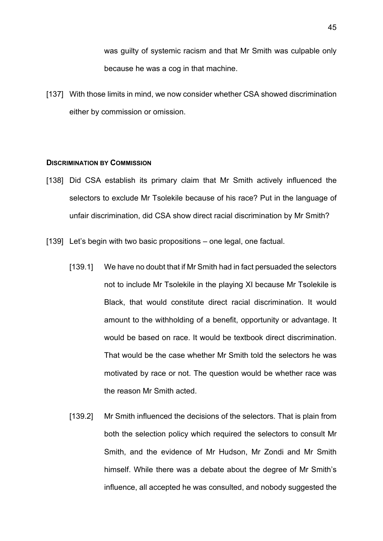was guilty of systemic racism and that Mr Smith was culpable only because he was a cog in that machine.

[137] With those limits in mind, we now consider whether CSA showed discrimination either by commission or omission.

#### **DISCRIMINATION BY COMMISSION**

- [138] Did CSA establish its primary claim that Mr Smith actively influenced the selectors to exclude Mr Tsolekile because of his race? Put in the language of unfair discrimination, did CSA show direct racial discrimination by Mr Smith?
- [139] Let's begin with two basic propositions one legal, one factual.
	- [139.1] We have no doubt that if Mr Smith had in fact persuaded the selectors not to include Mr Tsolekile in the playing XI because Mr Tsolekile is Black, that would constitute direct racial discrimination. It would amount to the withholding of a benefit, opportunity or advantage. It would be based on race. It would be textbook direct discrimination. That would be the case whether Mr Smith told the selectors he was motivated by race or not. The question would be whether race was the reason Mr Smith acted.
	- [139.2] Mr Smith influenced the decisions of the selectors. That is plain from both the selection policy which required the selectors to consult Mr Smith, and the evidence of Mr Hudson, Mr Zondi and Mr Smith himself. While there was a debate about the degree of Mr Smith's influence, all accepted he was consulted, and nobody suggested the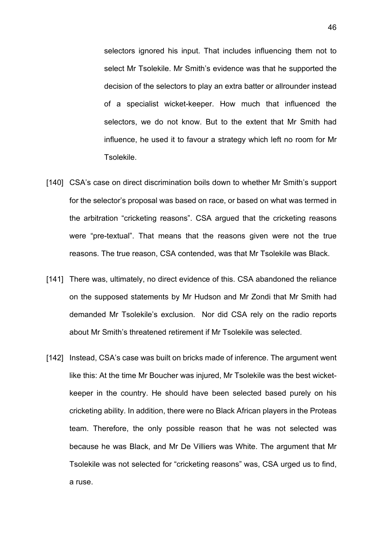selectors ignored his input. That includes influencing them not to select Mr Tsolekile. Mr Smith's evidence was that he supported the decision of the selectors to play an extra batter or allrounder instead of a specialist wicket-keeper. How much that influenced the selectors, we do not know. But to the extent that Mr Smith had influence, he used it to favour a strategy which left no room for Mr Tsolekile.

- [140] CSA's case on direct discrimination boils down to whether Mr Smith's support for the selector's proposal was based on race, or based on what was termed in the arbitration "cricketing reasons". CSA argued that the cricketing reasons were "pre-textual". That means that the reasons given were not the true reasons. The true reason, CSA contended, was that Mr Tsolekile was Black.
- [141] There was, ultimately, no direct evidence of this. CSA abandoned the reliance on the supposed statements by Mr Hudson and Mr Zondi that Mr Smith had demanded Mr Tsolekile's exclusion. Nor did CSA rely on the radio reports about Mr Smith's threatened retirement if Mr Tsolekile was selected.
- [142] Instead, CSA's case was built on bricks made of inference. The argument went like this: At the time Mr Boucher was injured, Mr Tsolekile was the best wicketkeeper in the country. He should have been selected based purely on his cricketing ability. In addition, there were no Black African players in the Proteas team. Therefore, the only possible reason that he was not selected was because he was Black, and Mr De Villiers was White. The argument that Mr Tsolekile was not selected for "cricketing reasons" was, CSA urged us to find, a ruse.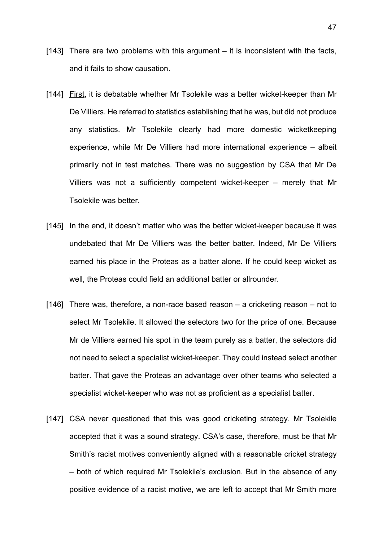- [143] There are two problems with this argument  $-$  it is inconsistent with the facts, and it fails to show causation.
- [144] First, it is debatable whether Mr Tsolekile was a better wicket-keeper than Mr De Villiers. He referred to statistics establishing that he was, but did not produce any statistics. Mr Tsolekile clearly had more domestic wicketkeeping experience, while Mr De Villiers had more international experience – albeit primarily not in test matches. There was no suggestion by CSA that Mr De Villiers was not a sufficiently competent wicket-keeper – merely that Mr Tsolekile was better.
- [145] In the end, it doesn't matter who was the better wicket-keeper because it was undebated that Mr De Villiers was the better batter. Indeed, Mr De Villiers earned his place in the Proteas as a batter alone. If he could keep wicket as well, the Proteas could field an additional batter or allrounder.
- [146] There was, therefore, a non-race based reason a cricketing reason not to select Mr Tsolekile. It allowed the selectors two for the price of one. Because Mr de Villiers earned his spot in the team purely as a batter, the selectors did not need to select a specialist wicket-keeper. They could instead select another batter. That gave the Proteas an advantage over other teams who selected a specialist wicket-keeper who was not as proficient as a specialist batter.
- [147] CSA never questioned that this was good cricketing strategy. Mr Tsolekile accepted that it was a sound strategy. CSA's case, therefore, must be that Mr Smith's racist motives conveniently aligned with a reasonable cricket strategy – both of which required Mr Tsolekile's exclusion. But in the absence of any positive evidence of a racist motive, we are left to accept that Mr Smith more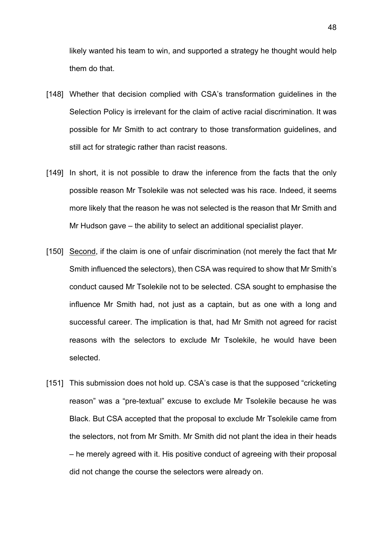likely wanted his team to win, and supported a strategy he thought would help them do that.

- [148] Whether that decision complied with CSA's transformation guidelines in the Selection Policy is irrelevant for the claim of active racial discrimination. It was possible for Mr Smith to act contrary to those transformation guidelines, and still act for strategic rather than racist reasons.
- [149] In short, it is not possible to draw the inference from the facts that the only possible reason Mr Tsolekile was not selected was his race. Indeed, it seems more likely that the reason he was not selected is the reason that Mr Smith and Mr Hudson gave – the ability to select an additional specialist player.
- [150] Second, if the claim is one of unfair discrimination (not merely the fact that Mr Smith influenced the selectors), then CSA was required to show that Mr Smith's conduct caused Mr Tsolekile not to be selected. CSA sought to emphasise the influence Mr Smith had, not just as a captain, but as one with a long and successful career. The implication is that, had Mr Smith not agreed for racist reasons with the selectors to exclude Mr Tsolekile, he would have been selected.
- [151] This submission does not hold up. CSA's case is that the supposed "cricketing" reason" was a "pre-textual" excuse to exclude Mr Tsolekile because he was Black. But CSA accepted that the proposal to exclude Mr Tsolekile came from the selectors, not from Mr Smith. Mr Smith did not plant the idea in their heads – he merely agreed with it. His positive conduct of agreeing with their proposal did not change the course the selectors were already on.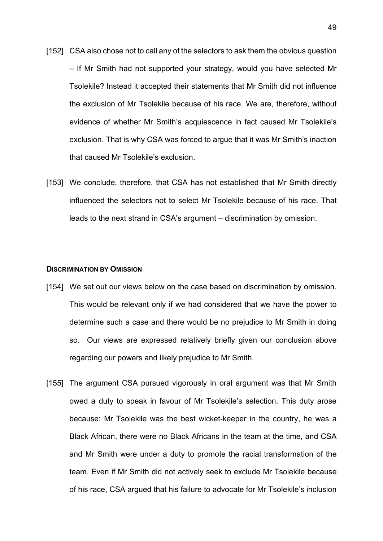- [152] CSA also chose not to call any of the selectors to ask them the obvious question – If Mr Smith had not supported your strategy, would you have selected Mr Tsolekile? Instead it accepted their statements that Mr Smith did not influence the exclusion of Mr Tsolekile because of his race. We are, therefore, without evidence of whether Mr Smith's acquiescence in fact caused Mr Tsolekile's exclusion. That is why CSA was forced to argue that it was Mr Smith's inaction that caused Mr Tsolekile's exclusion.
- [153] We conclude, therefore, that CSA has not established that Mr Smith directly influenced the selectors not to select Mr Tsolekile because of his race. That leads to the next strand in CSA's argument – discrimination by omission.

#### **DISCRIMINATION BY OMISSION**

- [154] We set out our views below on the case based on discrimination by omission. This would be relevant only if we had considered that we have the power to determine such a case and there would be no prejudice to Mr Smith in doing so. Our views are expressed relatively briefly given our conclusion above regarding our powers and likely prejudice to Mr Smith.
- [155] The argument CSA pursued vigorously in oral argument was that Mr Smith owed a duty to speak in favour of Mr Tsolekile's selection. This duty arose because: Mr Tsolekile was the best wicket-keeper in the country, he was a Black African, there were no Black Africans in the team at the time, and CSA and Mr Smith were under a duty to promote the racial transformation of the team. Even if Mr Smith did not actively seek to exclude Mr Tsolekile because of his race, CSA argued that his failure to advocate for Mr Tsolekile's inclusion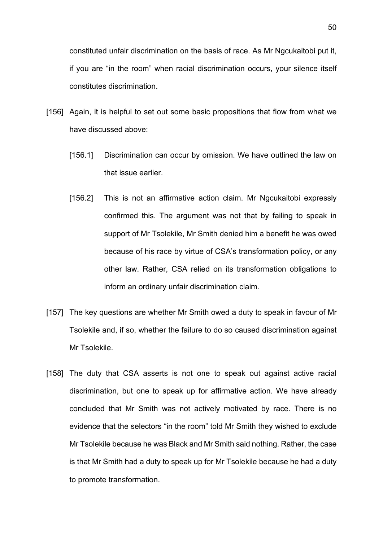constituted unfair discrimination on the basis of race. As Mr Ngcukaitobi put it, if you are "in the room" when racial discrimination occurs, your silence itself constitutes discrimination.

- [156] Again, it is helpful to set out some basic propositions that flow from what we have discussed above:
	- [156.1] Discrimination can occur by omission. We have outlined the law on that issue earlier.
	- [156.2] This is not an affirmative action claim. Mr Ngcukaitobi expressly confirmed this. The argument was not that by failing to speak in support of Mr Tsolekile, Mr Smith denied him a benefit he was owed because of his race by virtue of CSA's transformation policy, or any other law. Rather, CSA relied on its transformation obligations to inform an ordinary unfair discrimination claim.
- [157] The key questions are whether Mr Smith owed a duty to speak in favour of Mr Tsolekile and, if so, whether the failure to do so caused discrimination against Mr Tsolekile.
- [158] The duty that CSA asserts is not one to speak out against active racial discrimination, but one to speak up for affirmative action. We have already concluded that Mr Smith was not actively motivated by race. There is no evidence that the selectors "in the room" told Mr Smith they wished to exclude Mr Tsolekile because he was Black and Mr Smith said nothing. Rather, the case is that Mr Smith had a duty to speak up for Mr Tsolekile because he had a duty to promote transformation.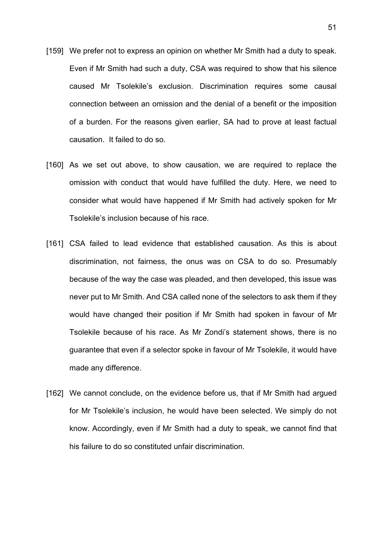- [159] We prefer not to express an opinion on whether Mr Smith had a duty to speak. Even if Mr Smith had such a duty, CSA was required to show that his silence caused Mr Tsolekile's exclusion. Discrimination requires some causal connection between an omission and the denial of a benefit or the imposition of a burden. For the reasons given earlier, SA had to prove at least factual causation. It failed to do so.
- [160] As we set out above, to show causation, we are required to replace the omission with conduct that would have fulfilled the duty. Here, we need to consider what would have happened if Mr Smith had actively spoken for Mr Tsolekile's inclusion because of his race.
- [161] CSA failed to lead evidence that established causation. As this is about discrimination, not fairness, the onus was on CSA to do so. Presumably because of the way the case was pleaded, and then developed, this issue was never put to Mr Smith. And CSA called none of the selectors to ask them if they would have changed their position if Mr Smith had spoken in favour of Mr Tsolekile because of his race. As Mr Zondi's statement shows, there is no guarantee that even if a selector spoke in favour of Mr Tsolekile, it would have made any difference.
- [162] We cannot conclude, on the evidence before us, that if Mr Smith had argued for Mr Tsolekile's inclusion, he would have been selected. We simply do not know. Accordingly, even if Mr Smith had a duty to speak, we cannot find that his failure to do so constituted unfair discrimination.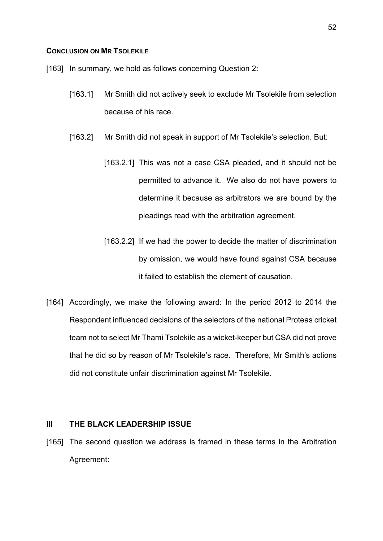## **CONCLUSION ON MR TSOLEKILE**

- [163] In summary, we hold as follows concerning Question 2:
	- [163.1] Mr Smith did not actively seek to exclude Mr Tsolekile from selection because of his race.
	- [163.2] Mr Smith did not speak in support of Mr Tsolekile's selection. But:
		- [163.2.1] This was not a case CSA pleaded, and it should not be permitted to advance it. We also do not have powers to determine it because as arbitrators we are bound by the pleadings read with the arbitration agreement.
		- [163.2.2] If we had the power to decide the matter of discrimination by omission, we would have found against CSA because it failed to establish the element of causation.
- [164] Accordingly, we make the following award: In the period 2012 to 2014 the Respondent influenced decisions of the selectors of the national Proteas cricket team not to select Mr Thami Tsolekile as a wicket-keeper but CSA did not prove that he did so by reason of Mr Tsolekile's race. Therefore, Mr Smith's actions did not constitute unfair discrimination against Mr Tsolekile.

## **III THE BLACK LEADERSHIP ISSUE**

[165] The second question we address is framed in these terms in the Arbitration Agreement: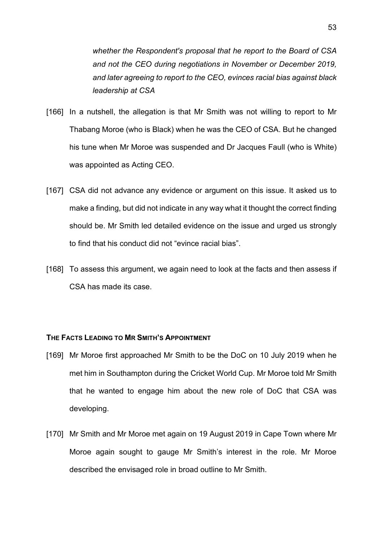*whether the Respondent's proposal that he report to the Board of CSA and not the CEO during negotiations in November or December 2019, and later agreeing to report to the CEO, evinces racial bias against black leadership at CSA*

- [166] In a nutshell, the allegation is that Mr Smith was not willing to report to Mr Thabang Moroe (who is Black) when he was the CEO of CSA. But he changed his tune when Mr Moroe was suspended and Dr Jacques Faull (who is White) was appointed as Acting CEO.
- [167] CSA did not advance any evidence or argument on this issue. It asked us to make a finding, but did not indicate in any way what it thought the correct finding should be. Mr Smith led detailed evidence on the issue and urged us strongly to find that his conduct did not "evince racial bias".
- [168] To assess this argument, we again need to look at the facts and then assess if CSA has made its case.

# **THE FACTS LEADING TO MR SMITH'S APPOINTMENT**

- [169] Mr Moroe first approached Mr Smith to be the DoC on 10 July 2019 when he met him in Southampton during the Cricket World Cup. Mr Moroe told Mr Smith that he wanted to engage him about the new role of DoC that CSA was developing.
- [170] Mr Smith and Mr Moroe met again on 19 August 2019 in Cape Town where Mr Moroe again sought to gauge Mr Smith's interest in the role. Mr Moroe described the envisaged role in broad outline to Mr Smith.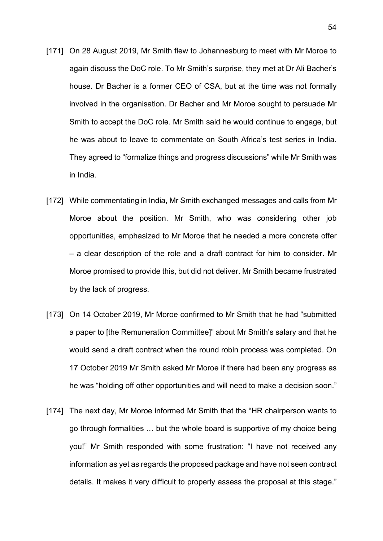- [171] On 28 August 2019, Mr Smith flew to Johannesburg to meet with Mr Moroe to again discuss the DoC role. To Mr Smith's surprise, they met at Dr Ali Bacher's house. Dr Bacher is a former CEO of CSA, but at the time was not formally involved in the organisation. Dr Bacher and Mr Moroe sought to persuade Mr Smith to accept the DoC role. Mr Smith said he would continue to engage, but he was about to leave to commentate on South Africa's test series in India. They agreed to "formalize things and progress discussions" while Mr Smith was in India.
- [172] While commentating in India, Mr Smith exchanged messages and calls from Mr Moroe about the position. Mr Smith, who was considering other job opportunities, emphasized to Mr Moroe that he needed a more concrete offer – a clear description of the role and a draft contract for him to consider. Mr Moroe promised to provide this, but did not deliver. Mr Smith became frustrated by the lack of progress.
- [173] On 14 October 2019, Mr Moroe confirmed to Mr Smith that he had "submitted" a paper to [the Remuneration Committee]" about Mr Smith's salary and that he would send a draft contract when the round robin process was completed. On 17 October 2019 Mr Smith asked Mr Moroe if there had been any progress as he was "holding off other opportunities and will need to make a decision soon."
- [174] The next day, Mr Moroe informed Mr Smith that the "HR chairperson wants to go through formalities … but the whole board is supportive of my choice being you!" Mr Smith responded with some frustration: "I have not received any information as yet as regards the proposed package and have not seen contract details. It makes it very difficult to properly assess the proposal at this stage."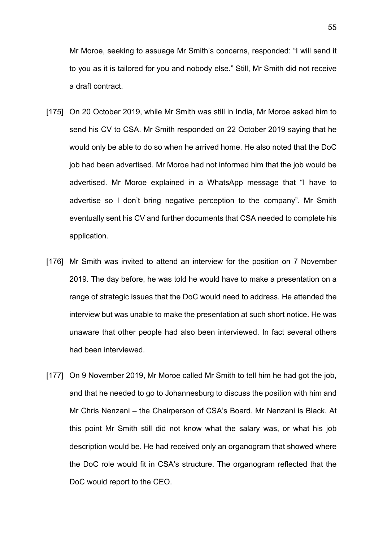Mr Moroe, seeking to assuage Mr Smith's concerns, responded: "I will send it to you as it is tailored for you and nobody else." Still, Mr Smith did not receive a draft contract.

- [175] On 20 October 2019, while Mr Smith was still in India, Mr Moroe asked him to send his CV to CSA. Mr Smith responded on 22 October 2019 saying that he would only be able to do so when he arrived home. He also noted that the DoC job had been advertised. Mr Moroe had not informed him that the job would be advertised. Mr Moroe explained in a WhatsApp message that "I have to advertise so I don't bring negative perception to the company". Mr Smith eventually sent his CV and further documents that CSA needed to complete his application.
- [176] Mr Smith was invited to attend an interview for the position on 7 November 2019. The day before, he was told he would have to make a presentation on a range of strategic issues that the DoC would need to address. He attended the interview but was unable to make the presentation at such short notice. He was unaware that other people had also been interviewed. In fact several others had been interviewed.
- [177] On 9 November 2019, Mr Moroe called Mr Smith to tell him he had got the job, and that he needed to go to Johannesburg to discuss the position with him and Mr Chris Nenzani – the Chairperson of CSA's Board. Mr Nenzani is Black. At this point Mr Smith still did not know what the salary was, or what his job description would be. He had received only an organogram that showed where the DoC role would fit in CSA's structure. The organogram reflected that the DoC would report to the CEO.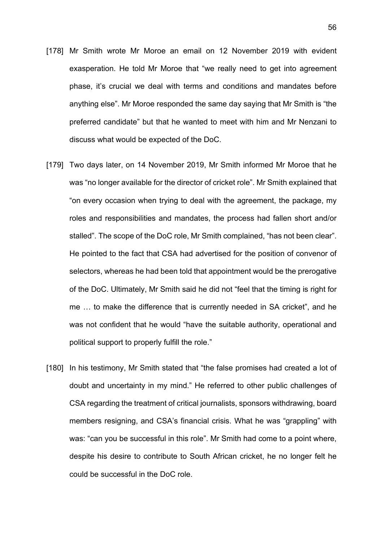- [178] Mr Smith wrote Mr Moroe an email on 12 November 2019 with evident exasperation. He told Mr Moroe that "we really need to get into agreement phase, it's crucial we deal with terms and conditions and mandates before anything else". Mr Moroe responded the same day saying that Mr Smith is "the preferred candidate" but that he wanted to meet with him and Mr Nenzani to discuss what would be expected of the DoC.
- [179] Two days later, on 14 November 2019, Mr Smith informed Mr Moroe that he was "no longer available for the director of cricket role". Mr Smith explained that "on every occasion when trying to deal with the agreement, the package, my roles and responsibilities and mandates, the process had fallen short and/or stalled". The scope of the DoC role, Mr Smith complained, "has not been clear". He pointed to the fact that CSA had advertised for the position of convenor of selectors, whereas he had been told that appointment would be the prerogative of the DoC. Ultimately, Mr Smith said he did not "feel that the timing is right for me … to make the difference that is currently needed in SA cricket", and he was not confident that he would "have the suitable authority, operational and political support to properly fulfill the role."
- [180] In his testimony, Mr Smith stated that "the false promises had created a lot of doubt and uncertainty in my mind." He referred to other public challenges of CSA regarding the treatment of critical journalists, sponsors withdrawing, board members resigning, and CSA's financial crisis. What he was "grappling" with was: "can you be successful in this role". Mr Smith had come to a point where, despite his desire to contribute to South African cricket, he no longer felt he could be successful in the DoC role.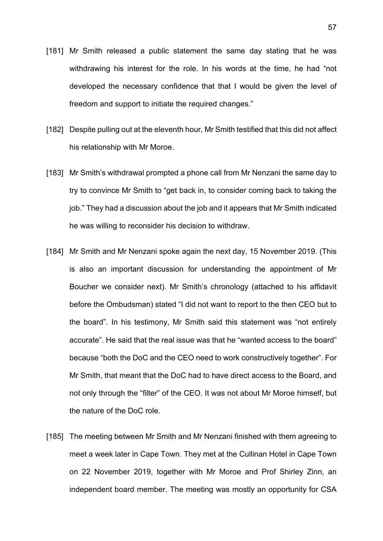- [181] Mr Smith released a public statement the same day stating that he was withdrawing his interest for the role. In his words at the time, he had "not developed the necessary confidence that that I would be given the level of freedom and support to initiate the required changes."
- [182] Despite pulling out at the eleventh hour, Mr Smith testified that this did not affect his relationship with Mr Moroe.
- [183] Mr Smith's withdrawal prompted a phone call from Mr Nenzani the same day to try to convince Mr Smith to "get back in, to consider coming back to taking the job." They had a discussion about the job and it appears that Mr Smith indicated he was willing to reconsider his decision to withdraw.
- [184] Mr Smith and Mr Nenzani spoke again the next day, 15 November 2019. (This is also an important discussion for understanding the appointment of Mr Boucher we consider next). Mr Smith's chronology (attached to his affidavit before the Ombudsman) stated "I did not want to report to the then CEO but to the board". In his testimony, Mr Smith said this statement was "not entirely accurate". He said that the real issue was that he "wanted access to the board" because "both the DoC and the CEO need to work constructively together". For Mr Smith, that meant that the DoC had to have direct access to the Board, and not only through the "filter" of the CEO. It was not about Mr Moroe himself, but the nature of the DoC role.
- [185] The meeting between Mr Smith and Mr Nenzani finished with them agreeing to meet a week later in Cape Town. They met at the Cullinan Hotel in Cape Town on 22 November 2019, together with Mr Moroe and Prof Shirley Zinn, an independent board member. The meeting was mostly an opportunity for CSA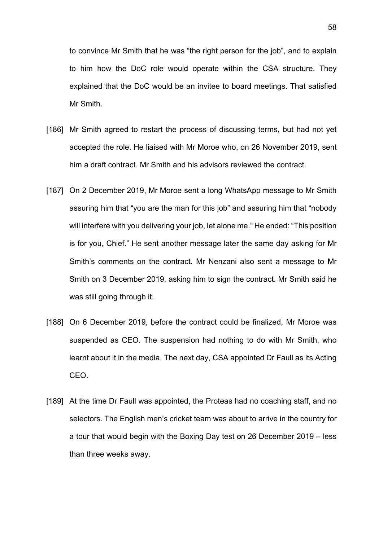to convince Mr Smith that he was "the right person for the job", and to explain to him how the DoC role would operate within the CSA structure. They explained that the DoC would be an invitee to board meetings. That satisfied Mr Smith.

- [186] Mr Smith agreed to restart the process of discussing terms, but had not yet accepted the role. He liaised with Mr Moroe who, on 26 November 2019, sent him a draft contract. Mr Smith and his advisors reviewed the contract.
- [187] On 2 December 2019, Mr Moroe sent a long WhatsApp message to Mr Smith assuring him that "you are the man for this job" and assuring him that "nobody will interfere with you delivering your job, let alone me." He ended: "This position is for you, Chief." He sent another message later the same day asking for Mr Smith's comments on the contract. Mr Nenzani also sent a message to Mr Smith on 3 December 2019, asking him to sign the contract. Mr Smith said he was still going through it.
- [188] On 6 December 2019, before the contract could be finalized, Mr Moroe was suspended as CEO. The suspension had nothing to do with Mr Smith, who learnt about it in the media. The next day, CSA appointed Dr Faull as its Acting CEO.
- [189] At the time Dr Faull was appointed, the Proteas had no coaching staff, and no selectors. The English men's cricket team was about to arrive in the country for a tour that would begin with the Boxing Day test on 26 December 2019 – less than three weeks away.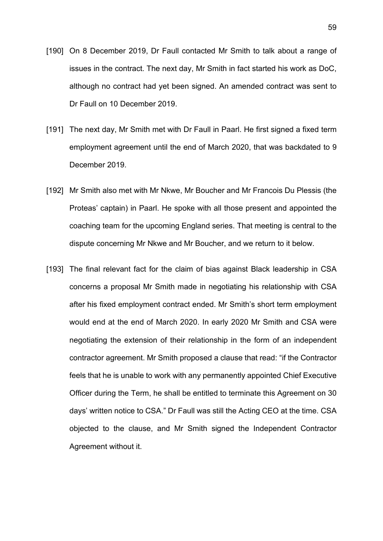- [190] On 8 December 2019, Dr Faull contacted Mr Smith to talk about a range of issues in the contract. The next day, Mr Smith in fact started his work as DoC, although no contract had yet been signed. An amended contract was sent to Dr Faull on 10 December 2019.
- [191] The next day, Mr Smith met with Dr Faull in Paarl. He first signed a fixed term employment agreement until the end of March 2020, that was backdated to 9 December 2019.
- [192] Mr Smith also met with Mr Nkwe, Mr Boucher and Mr Francois Du Plessis (the Proteas' captain) in Paarl. He spoke with all those present and appointed the coaching team for the upcoming England series. That meeting is central to the dispute concerning Mr Nkwe and Mr Boucher, and we return to it below.
- [193] The final relevant fact for the claim of bias against Black leadership in CSA concerns a proposal Mr Smith made in negotiating his relationship with CSA after his fixed employment contract ended. Mr Smith's short term employment would end at the end of March 2020. In early 2020 Mr Smith and CSA were negotiating the extension of their relationship in the form of an independent contractor agreement. Mr Smith proposed a clause that read: "if the Contractor feels that he is unable to work with any permanently appointed Chief Executive Officer during the Term, he shall be entitled to terminate this Agreement on 30 days' written notice to CSA." Dr Faull was still the Acting CEO at the time. CSA objected to the clause, and Mr Smith signed the Independent Contractor Agreement without it.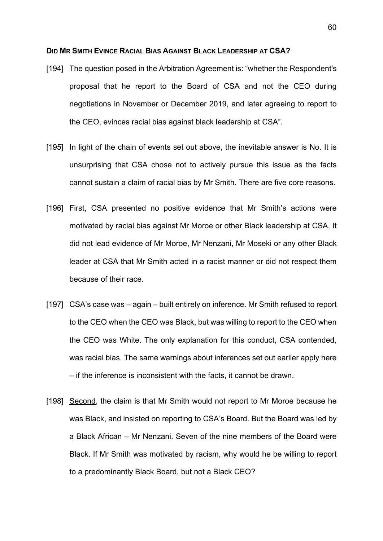#### **DID MR SMITH EVINCE RACIAL BIAS AGAINST BLACK LEADERSHIP AT CSA?**

- [194] The question posed in the Arbitration Agreement is: "whether the Respondent's proposal that he report to the Board of CSA and not the CEO during negotiations in November or December 2019, and later agreeing to report to the CEO, evinces racial bias against black leadership at CSA".
- [195] In light of the chain of events set out above, the inevitable answer is No. It is unsurprising that CSA chose not to actively pursue this issue as the facts cannot sustain a claim of racial bias by Mr Smith. There are five core reasons.
- [196] First, CSA presented no positive evidence that Mr Smith's actions were motivated by racial bias against Mr Moroe or other Black leadership at CSA. It did not lead evidence of Mr Moroe, Mr Nenzani, Mr Moseki or any other Black leader at CSA that Mr Smith acted in a racist manner or did not respect them because of their race.
- [197] CSA's case was again built entirely on inference. Mr Smith refused to report to the CEO when the CEO was Black, but was willing to report to the CEO when the CEO was White. The only explanation for this conduct, CSA contended, was racial bias. The same warnings about inferences set out earlier apply here – if the inference is inconsistent with the facts, it cannot be drawn.
- [198] Second, the claim is that Mr Smith would not report to Mr Moroe because he was Black, and insisted on reporting to CSA's Board. But the Board was led by a Black African – Mr Nenzani. Seven of the nine members of the Board were Black. If Mr Smith was motivated by racism, why would he be willing to report to a predominantly Black Board, but not a Black CEO?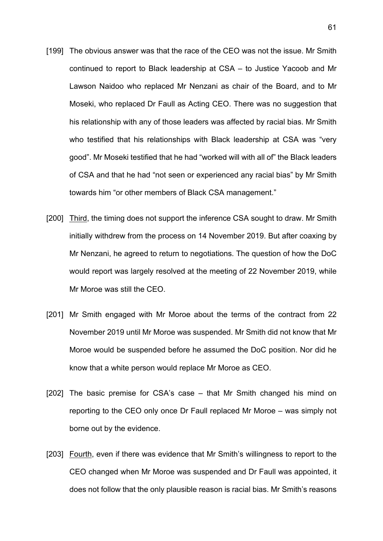- [199] The obvious answer was that the race of the CEO was not the issue. Mr Smith continued to report to Black leadership at CSA – to Justice Yacoob and Mr Lawson Naidoo who replaced Mr Nenzani as chair of the Board, and to Mr Moseki, who replaced Dr Faull as Acting CEO. There was no suggestion that his relationship with any of those leaders was affected by racial bias. Mr Smith who testified that his relationships with Black leadership at CSA was "very good". Mr Moseki testified that he had "worked will with all of" the Black leaders of CSA and that he had "not seen or experienced any racial bias" by Mr Smith towards him "or other members of Black CSA management."
- [200] Third, the timing does not support the inference CSA sought to draw. Mr Smith initially withdrew from the process on 14 November 2019. But after coaxing by Mr Nenzani, he agreed to return to negotiations. The question of how the DoC would report was largely resolved at the meeting of 22 November 2019, while Mr Moroe was still the CEO.
- [201] Mr Smith engaged with Mr Moroe about the terms of the contract from 22 November 2019 until Mr Moroe was suspended. Mr Smith did not know that Mr Moroe would be suspended before he assumed the DoC position. Nor did he know that a white person would replace Mr Moroe as CEO.
- [202] The basic premise for CSA's case that Mr Smith changed his mind on reporting to the CEO only once Dr Faull replaced Mr Moroe – was simply not borne out by the evidence.
- [203] Fourth, even if there was evidence that Mr Smith's willingness to report to the CEO changed when Mr Moroe was suspended and Dr Faull was appointed, it does not follow that the only plausible reason is racial bias. Mr Smith's reasons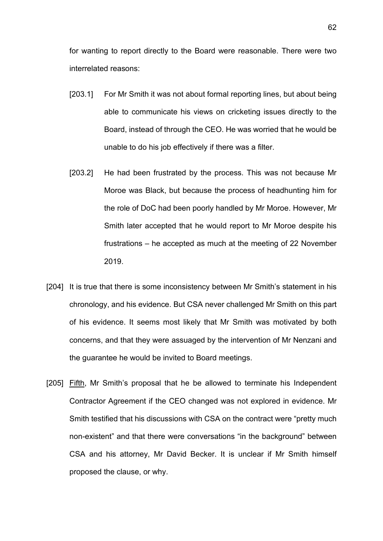for wanting to report directly to the Board were reasonable. There were two interrelated reasons:

- [203.1] For Mr Smith it was not about formal reporting lines, but about being able to communicate his views on cricketing issues directly to the Board, instead of through the CEO. He was worried that he would be unable to do his job effectively if there was a filter.
- [203.2] He had been frustrated by the process. This was not because Mr Moroe was Black, but because the process of headhunting him for the role of DoC had been poorly handled by Mr Moroe. However, Mr Smith later accepted that he would report to Mr Moroe despite his frustrations – he accepted as much at the meeting of 22 November 2019.
- [204] It is true that there is some inconsistency between Mr Smith's statement in his chronology, and his evidence. But CSA never challenged Mr Smith on this part of his evidence. It seems most likely that Mr Smith was motivated by both concerns, and that they were assuaged by the intervention of Mr Nenzani and the guarantee he would be invited to Board meetings.
- [205] Fifth, Mr Smith's proposal that he be allowed to terminate his Independent Contractor Agreement if the CEO changed was not explored in evidence. Mr Smith testified that his discussions with CSA on the contract were "pretty much non-existent" and that there were conversations "in the background" between CSA and his attorney, Mr David Becker. It is unclear if Mr Smith himself proposed the clause, or why.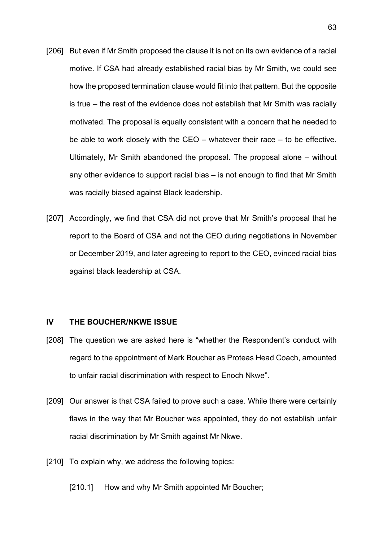- [206] But even if Mr Smith proposed the clause it is not on its own evidence of a racial motive. If CSA had already established racial bias by Mr Smith, we could see how the proposed termination clause would fit into that pattern. But the opposite is true – the rest of the evidence does not establish that Mr Smith was racially motivated. The proposal is equally consistent with a concern that he needed to be able to work closely with the CEO – whatever their race – to be effective. Ultimately, Mr Smith abandoned the proposal. The proposal alone – without any other evidence to support racial bias – is not enough to find that Mr Smith was racially biased against Black leadership.
- [207] Accordingly, we find that CSA did not prove that Mr Smith's proposal that he report to the Board of CSA and not the CEO during negotiations in November or December 2019, and later agreeing to report to the CEO, evinced racial bias against black leadership at CSA.

# **IV THE BOUCHER/NKWE ISSUE**

- [208] The question we are asked here is "whether the Respondent's conduct with regard to the appointment of Mark Boucher as Proteas Head Coach, amounted to unfair racial discrimination with respect to Enoch Nkwe".
- [209] Our answer is that CSA failed to prove such a case. While there were certainly flaws in the way that Mr Boucher was appointed, they do not establish unfair racial discrimination by Mr Smith against Mr Nkwe.
- [210] To explain why, we address the following topics:

[210.1] How and why Mr Smith appointed Mr Boucher;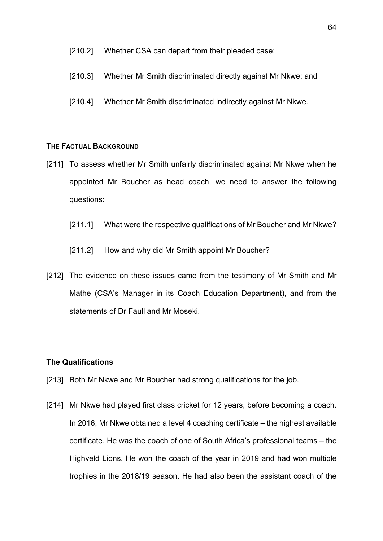### [210.2] Whether CSA can depart from their pleaded case;

- [210.3] Whether Mr Smith discriminated directly against Mr Nkwe; and
- [210.4] Whether Mr Smith discriminated indirectly against Mr Nkwe.

## **THE FACTUAL BACKGROUND**

- [211] To assess whether Mr Smith unfairly discriminated against Mr Nkwe when he appointed Mr Boucher as head coach, we need to answer the following questions:
	- [211.1] What were the respective qualifications of Mr Boucher and Mr Nkwe?
	- [211.2] How and why did Mr Smith appoint Mr Boucher?
- [212] The evidence on these issues came from the testimony of Mr Smith and Mr Mathe (CSA's Manager in its Coach Education Department), and from the statements of Dr Faull and Mr Moseki.

### **The Qualifications**

- [213] Both Mr Nkwe and Mr Boucher had strong qualifications for the job.
- [214] Mr Nkwe had played first class cricket for 12 years, before becoming a coach. In 2016, Mr Nkwe obtained a level 4 coaching certificate – the highest available certificate. He was the coach of one of South Africa's professional teams – the Highveld Lions. He won the coach of the year in 2019 and had won multiple trophies in the 2018/19 season. He had also been the assistant coach of the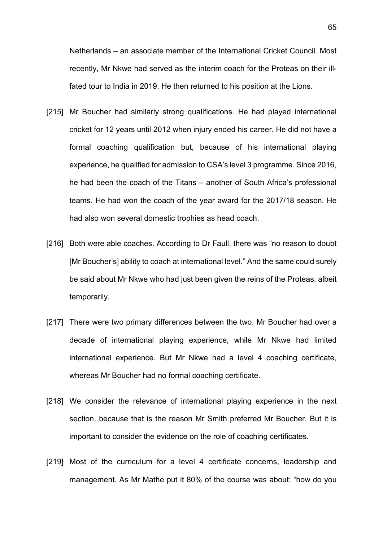Netherlands – an associate member of the International Cricket Council. Most recently, Mr Nkwe had served as the interim coach for the Proteas on their illfated tour to India in 2019. He then returned to his position at the Lions.

- [215] Mr Boucher had similarly strong qualifications. He had played international cricket for 12 years until 2012 when injury ended his career. He did not have a formal coaching qualification but, because of his international playing experience, he qualified for admission to CSA's level 3 programme. Since 2016, he had been the coach of the Titans – another of South Africa's professional teams. He had won the coach of the year award for the 2017/18 season. He had also won several domestic trophies as head coach.
- [216] Both were able coaches. According to Dr Faull, there was "no reason to doubt [Mr Boucher's] ability to coach at international level." And the same could surely be said about Mr Nkwe who had just been given the reins of the Proteas, albeit temporarily.
- [217] There were two primary differences between the two. Mr Boucher had over a decade of international playing experience, while Mr Nkwe had limited international experience. But Mr Nkwe had a level 4 coaching certificate, whereas Mr Boucher had no formal coaching certificate.
- [218] We consider the relevance of international playing experience in the next section, because that is the reason Mr Smith preferred Mr Boucher. But it is important to consider the evidence on the role of coaching certificates.
- [219] Most of the curriculum for a level 4 certificate concerns, leadership and management. As Mr Mathe put it 80% of the course was about: "how do you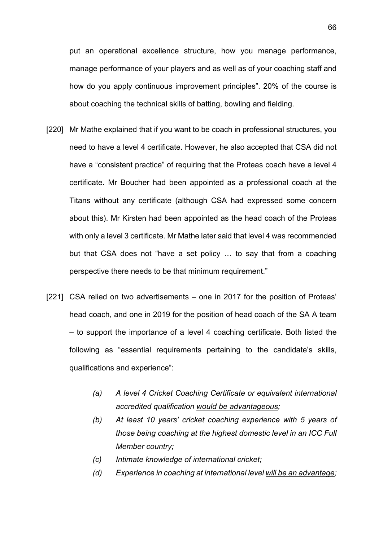put an operational excellence structure, how you manage performance, manage performance of your players and as well as of your coaching staff and how do you apply continuous improvement principles". 20% of the course is about coaching the technical skills of batting, bowling and fielding.

- [220] Mr Mathe explained that if you want to be coach in professional structures, you need to have a level 4 certificate. However, he also accepted that CSA did not have a "consistent practice" of requiring that the Proteas coach have a level 4 certificate. Mr Boucher had been appointed as a professional coach at the Titans without any certificate (although CSA had expressed some concern about this). Mr Kirsten had been appointed as the head coach of the Proteas with only a level 3 certificate. Mr Mathe later said that level 4 was recommended but that CSA does not "have a set policy … to say that from a coaching perspective there needs to be that minimum requirement."
- [221] CSA relied on two advertisements one in 2017 for the position of Proteas' head coach, and one in 2019 for the position of head coach of the SA A team – to support the importance of a level 4 coaching certificate. Both listed the following as "essential requirements pertaining to the candidate's skills, qualifications and experience":
	- *(a) A level 4 Cricket Coaching Certificate or equivalent international accredited qualification would be advantageous;*
	- *(b) At least 10 years' cricket coaching experience with 5 years of those being coaching at the highest domestic level in an ICC Full Member country;*
	- *(c) Intimate knowledge of international cricket;*
	- *(d) Experience in coaching at international level will be an advantage;*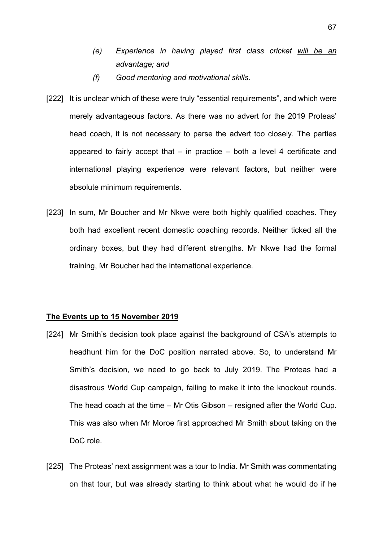- *(e) Experience in having played first class cricket will be an advantage; and*
- *(f) Good mentoring and motivational skills.*
- [222] It is unclear which of these were truly "essential requirements", and which were merely advantageous factors. As there was no advert for the 2019 Proteas' head coach, it is not necessary to parse the advert too closely. The parties appeared to fairly accept that  $-$  in practice  $-$  both a level 4 certificate and international playing experience were relevant factors, but neither were absolute minimum requirements.
- [223] In sum, Mr Boucher and Mr Nkwe were both highly qualified coaches. They both had excellent recent domestic coaching records. Neither ticked all the ordinary boxes, but they had different strengths. Mr Nkwe had the formal training, Mr Boucher had the international experience.

### **The Events up to 15 November 2019**

- [224] Mr Smith's decision took place against the background of CSA's attempts to headhunt him for the DoC position narrated above. So, to understand Mr Smith's decision, we need to go back to July 2019. The Proteas had a disastrous World Cup campaign, failing to make it into the knockout rounds. The head coach at the time – Mr Otis Gibson – resigned after the World Cup. This was also when Mr Moroe first approached Mr Smith about taking on the DoC role.
- [225] The Proteas' next assignment was a tour to India. Mr Smith was commentating on that tour, but was already starting to think about what he would do if he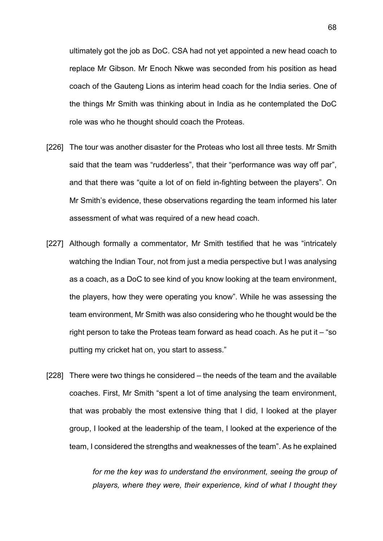ultimately got the job as DoC. CSA had not yet appointed a new head coach to replace Mr Gibson. Mr Enoch Nkwe was seconded from his position as head coach of the Gauteng Lions as interim head coach for the India series. One of the things Mr Smith was thinking about in India as he contemplated the DoC role was who he thought should coach the Proteas.

- [226] The tour was another disaster for the Proteas who lost all three tests. Mr Smith said that the team was "rudderless", that their "performance was way off par", and that there was "quite a lot of on field in-fighting between the players". On Mr Smith's evidence, these observations regarding the team informed his later assessment of what was required of a new head coach.
- [227] Although formally a commentator, Mr Smith testified that he was "intricately watching the Indian Tour, not from just a media perspective but I was analysing as a coach, as a DoC to see kind of you know looking at the team environment, the players, how they were operating you know". While he was assessing the team environment, Mr Smith was also considering who he thought would be the right person to take the Proteas team forward as head coach. As he put it – "so putting my cricket hat on, you start to assess."
- [228] There were two things he considered the needs of the team and the available coaches. First, Mr Smith "spent a lot of time analysing the team environment, that was probably the most extensive thing that I did, I looked at the player group, I looked at the leadership of the team, I looked at the experience of the team, I considered the strengths and weaknesses of the team". As he explained

*for me the key was to understand the environment, seeing the group of players, where they were, their experience, kind of what I thought they*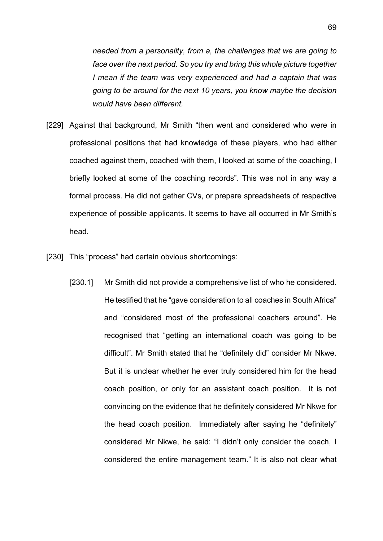*needed from a personality, from a, the challenges that we are going to face over the next period. So you try and bring this whole picture together I mean if the team was very experienced and had a captain that was going to be around for the next 10 years, you know maybe the decision would have been different.*

- [229] Against that background, Mr Smith "then went and considered who were in professional positions that had knowledge of these players, who had either coached against them, coached with them, I looked at some of the coaching, I briefly looked at some of the coaching records". This was not in any way a formal process. He did not gather CVs, or prepare spreadsheets of respective experience of possible applicants. It seems to have all occurred in Mr Smith's head.
- [230] This "process" had certain obvious shortcomings:
	- [230.1] Mr Smith did not provide a comprehensive list of who he considered. He testified that he "gave consideration to all coaches in South Africa" and "considered most of the professional coachers around". He recognised that "getting an international coach was going to be difficult". Mr Smith stated that he "definitely did" consider Mr Nkwe. But it is unclear whether he ever truly considered him for the head coach position, or only for an assistant coach position. It is not convincing on the evidence that he definitely considered Mr Nkwe for the head coach position. Immediately after saying he "definitely" considered Mr Nkwe, he said: "I didn't only consider the coach, I considered the entire management team." It is also not clear what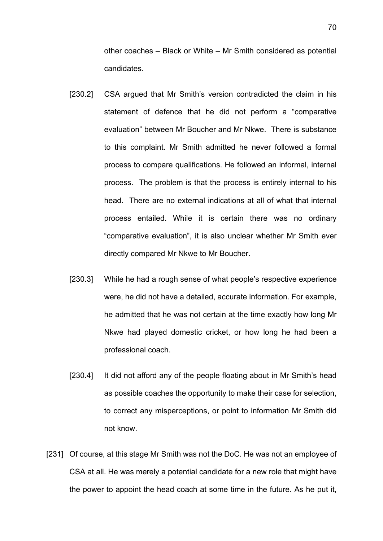other coaches – Black or White – Mr Smith considered as potential candidates.

- [230.2] CSA argued that Mr Smith's version contradicted the claim in his statement of defence that he did not perform a "comparative evaluation" between Mr Boucher and Mr Nkwe. There is substance to this complaint. Mr Smith admitted he never followed a formal process to compare qualifications. He followed an informal, internal process. The problem is that the process is entirely internal to his head. There are no external indications at all of what that internal process entailed. While it is certain there was no ordinary "comparative evaluation", it is also unclear whether Mr Smith ever directly compared Mr Nkwe to Mr Boucher.
- [230.3] While he had a rough sense of what people's respective experience were, he did not have a detailed, accurate information. For example, he admitted that he was not certain at the time exactly how long Mr Nkwe had played domestic cricket, or how long he had been a professional coach.
- [230.4] It did not afford any of the people floating about in Mr Smith's head as possible coaches the opportunity to make their case for selection, to correct any misperceptions, or point to information Mr Smith did not know.
- [231] Of course, at this stage Mr Smith was not the DoC. He was not an employee of CSA at all. He was merely a potential candidate for a new role that might have the power to appoint the head coach at some time in the future. As he put it,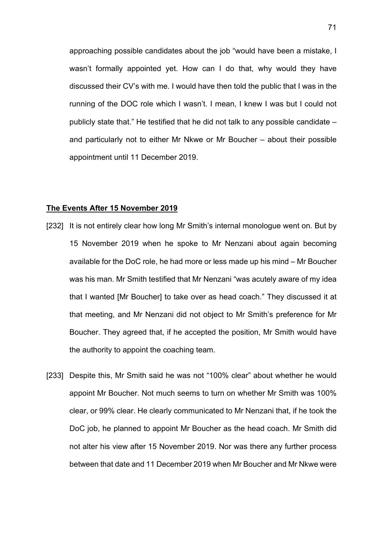approaching possible candidates about the job "would have been a mistake, I wasn't formally appointed yet. How can I do that, why would they have discussed their CV's with me. I would have then told the public that I was in the running of the DOC role which I wasn't. I mean, I knew I was but I could not publicly state that." He testified that he did not talk to any possible candidate – and particularly not to either Mr Nkwe or Mr Boucher – about their possible appointment until 11 December 2019.

# **The Events After 15 November 2019**

- [232] It is not entirely clear how long Mr Smith's internal monologue went on. But by 15 November 2019 when he spoke to Mr Nenzani about again becoming available for the DoC role, he had more or less made up his mind – Mr Boucher was his man. Mr Smith testified that Mr Nenzani "was acutely aware of my idea that I wanted [Mr Boucher] to take over as head coach." They discussed it at that meeting, and Mr Nenzani did not object to Mr Smith's preference for Mr Boucher. They agreed that, if he accepted the position, Mr Smith would have the authority to appoint the coaching team.
- [233] Despite this, Mr Smith said he was not "100% clear" about whether he would appoint Mr Boucher. Not much seems to turn on whether Mr Smith was 100% clear, or 99% clear. He clearly communicated to Mr Nenzani that, if he took the DoC job, he planned to appoint Mr Boucher as the head coach. Mr Smith did not alter his view after 15 November 2019. Nor was there any further process between that date and 11 December 2019 when Mr Boucher and Mr Nkwe were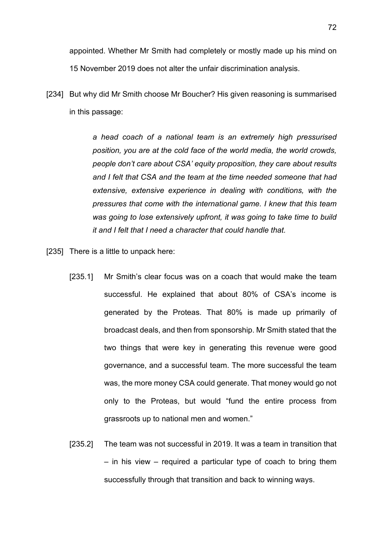appointed. Whether Mr Smith had completely or mostly made up his mind on 15 November 2019 does not alter the unfair discrimination analysis.

[234] But why did Mr Smith choose Mr Boucher? His given reasoning is summarised in this passage:

> *a head coach of a national team is an extremely high pressurised position, you are at the cold face of the world media, the world crowds, people don't care about CSA' equity proposition, they care about results and I felt that CSA and the team at the time needed someone that had extensive, extensive experience in dealing with conditions, with the pressures that come with the international game. I knew that this team was going to lose extensively upfront, it was going to take time to build it and I felt that I need a character that could handle that.*

[235] There is a little to unpack here:

- [235.1] Mr Smith's clear focus was on a coach that would make the team successful. He explained that about 80% of CSA's income is generated by the Proteas. That 80% is made up primarily of broadcast deals, and then from sponsorship. Mr Smith stated that the two things that were key in generating this revenue were good governance, and a successful team. The more successful the team was, the more money CSA could generate. That money would go not only to the Proteas, but would "fund the entire process from grassroots up to national men and women."
- [235.2] The team was not successful in 2019. It was a team in transition that – in his view – required a particular type of coach to bring them successfully through that transition and back to winning ways.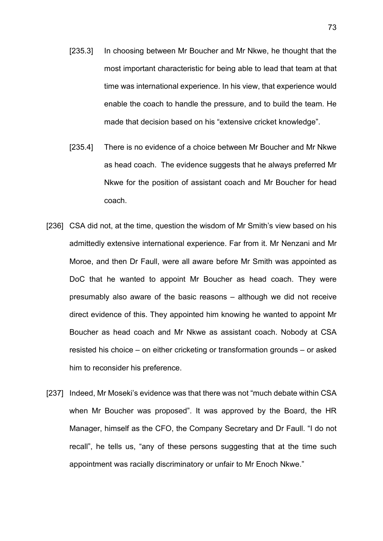- [235.3] In choosing between Mr Boucher and Mr Nkwe, he thought that the most important characteristic for being able to lead that team at that time was international experience. In his view, that experience would enable the coach to handle the pressure, and to build the team. He made that decision based on his "extensive cricket knowledge".
- [235.4] There is no evidence of a choice between Mr Boucher and Mr Nkwe as head coach. The evidence suggests that he always preferred Mr Nkwe for the position of assistant coach and Mr Boucher for head coach.
- [236] CSA did not, at the time, question the wisdom of Mr Smith's view based on his admittedly extensive international experience. Far from it. Mr Nenzani and Mr Moroe, and then Dr Faull, were all aware before Mr Smith was appointed as DoC that he wanted to appoint Mr Boucher as head coach. They were presumably also aware of the basic reasons – although we did not receive direct evidence of this. They appointed him knowing he wanted to appoint Mr Boucher as head coach and Mr Nkwe as assistant coach. Nobody at CSA resisted his choice – on either cricketing or transformation grounds – or asked him to reconsider his preference.
- [237] Indeed, Mr Moseki's evidence was that there was not "much debate within CSA when Mr Boucher was proposed". It was approved by the Board, the HR Manager, himself as the CFO, the Company Secretary and Dr Faull. "I do not recall", he tells us, "any of these persons suggesting that at the time such appointment was racially discriminatory or unfair to Mr Enoch Nkwe."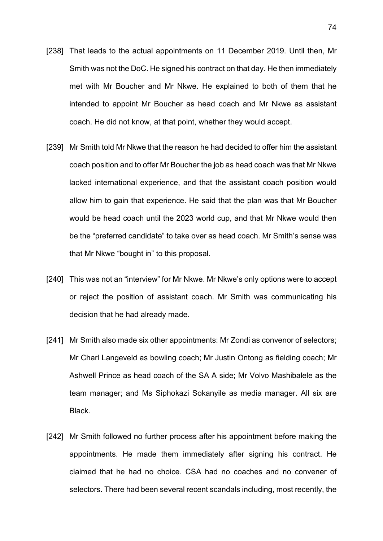- [238] That leads to the actual appointments on 11 December 2019. Until then, Mr Smith was not the DoC. He signed his contract on that day. He then immediately met with Mr Boucher and Mr Nkwe. He explained to both of them that he intended to appoint Mr Boucher as head coach and Mr Nkwe as assistant coach. He did not know, at that point, whether they would accept.
- [239] Mr Smith told Mr Nkwe that the reason he had decided to offer him the assistant coach position and to offer Mr Boucher the job as head coach was that Mr Nkwe lacked international experience, and that the assistant coach position would allow him to gain that experience. He said that the plan was that Mr Boucher would be head coach until the 2023 world cup, and that Mr Nkwe would then be the "preferred candidate" to take over as head coach. Mr Smith's sense was that Mr Nkwe "bought in" to this proposal.
- [240] This was not an "interview" for Mr Nkwe. Mr Nkwe's only options were to accept or reject the position of assistant coach. Mr Smith was communicating his decision that he had already made.
- [241] Mr Smith also made six other appointments: Mr Zondi as convenor of selectors; Mr Charl Langeveld as bowling coach; Mr Justin Ontong as fielding coach; Mr Ashwell Prince as head coach of the SA A side; Mr Volvo Mashibalele as the team manager; and Ms Siphokazi Sokanyile as media manager. All six are Black.
- [242] Mr Smith followed no further process after his appointment before making the appointments. He made them immediately after signing his contract. He claimed that he had no choice. CSA had no coaches and no convener of selectors. There had been several recent scandals including, most recently, the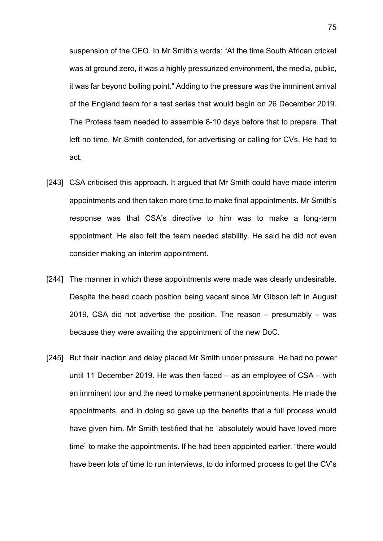suspension of the CEO. In Mr Smith's words: "At the time South African cricket was at ground zero, it was a highly pressurized environment, the media, public, it was far beyond boiling point." Adding to the pressure was the imminent arrival of the England team for a test series that would begin on 26 December 2019. The Proteas team needed to assemble 8-10 days before that to prepare. That left no time, Mr Smith contended, for advertising or calling for CVs. He had to act.

- [243] CSA criticised this approach. It argued that Mr Smith could have made interim appointments and then taken more time to make final appointments. Mr Smith's response was that CSA's directive to him was to make a long-term appointment. He also felt the team needed stability. He said he did not even consider making an interim appointment.
- [244] The manner in which these appointments were made was clearly undesirable. Despite the head coach position being vacant since Mr Gibson left in August 2019, CSA did not advertise the position. The reason – presumably – was because they were awaiting the appointment of the new DoC.
- [245] But their inaction and delay placed Mr Smith under pressure. He had no power until 11 December 2019. He was then faced – as an employee of CSA – with an imminent tour and the need to make permanent appointments. He made the appointments, and in doing so gave up the benefits that a full process would have given him. Mr Smith testified that he "absolutely would have loved more time" to make the appointments. If he had been appointed earlier, "there would have been lots of time to run interviews, to do informed process to get the CV's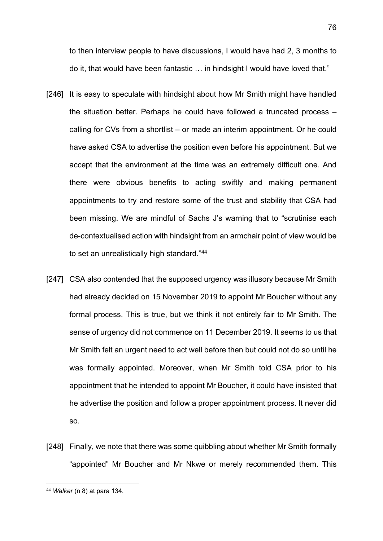to then interview people to have discussions, I would have had 2, 3 months to do it, that would have been fantastic … in hindsight I would have loved that."

- [246] It is easy to speculate with hindsight about how Mr Smith might have handled the situation better. Perhaps he could have followed a truncated process – calling for CVs from a shortlist – or made an interim appointment. Or he could have asked CSA to advertise the position even before his appointment. But we accept that the environment at the time was an extremely difficult one. And there were obvious benefits to acting swiftly and making permanent appointments to try and restore some of the trust and stability that CSA had been missing. We are mindful of Sachs J's warning that to "scrutinise each de-contextualised action with hindsight from an armchair point of view would be to set an unrealistically high standard."[44](#page-75-0)
- [247] CSA also contended that the supposed urgency was illusory because Mr Smith had already decided on 15 November 2019 to appoint Mr Boucher without any formal process. This is true, but we think it not entirely fair to Mr Smith. The sense of urgency did not commence on 11 December 2019. It seems to us that Mr Smith felt an urgent need to act well before then but could not do so until he was formally appointed. Moreover, when Mr Smith told CSA prior to his appointment that he intended to appoint Mr Boucher, it could have insisted that he advertise the position and follow a proper appointment process. It never did so.
- [248] Finally, we note that there was some quibbling about whether Mr Smith formally "appointed" Mr Boucher and Mr Nkwe or merely recommended them. This

76

<span id="page-75-0"></span><sup>44</sup> *Walker* (n [8\)](#page-14-0) at para 134.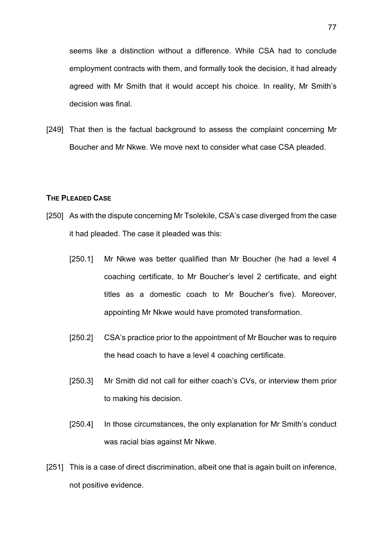seems like a distinction without a difference. While CSA had to conclude employment contracts with them, and formally took the decision, it had already agreed with Mr Smith that it would accept his choice. In reality, Mr Smith's decision was final.

[249] That then is the factual background to assess the complaint concerning Mr Boucher and Mr Nkwe. We move next to consider what case CSA pleaded.

#### **THE PLEADED CASE**

- [250] As with the dispute concerning Mr Tsolekile, CSA's case diverged from the case it had pleaded. The case it pleaded was this:
	- [250.1] Mr Nkwe was better qualified than Mr Boucher (he had a level 4 coaching certificate, to Mr Boucher's level 2 certificate, and eight titles as a domestic coach to Mr Boucher's five). Moreover, appointing Mr Nkwe would have promoted transformation.
	- [250.2] CSA's practice prior to the appointment of Mr Boucher was to require the head coach to have a level 4 coaching certificate.
	- [250.3] Mr Smith did not call for either coach's CVs, or interview them prior to making his decision.
	- [250.4] In those circumstances, the only explanation for Mr Smith's conduct was racial bias against Mr Nkwe.
- [251] This is a case of direct discrimination, albeit one that is again built on inference, not positive evidence.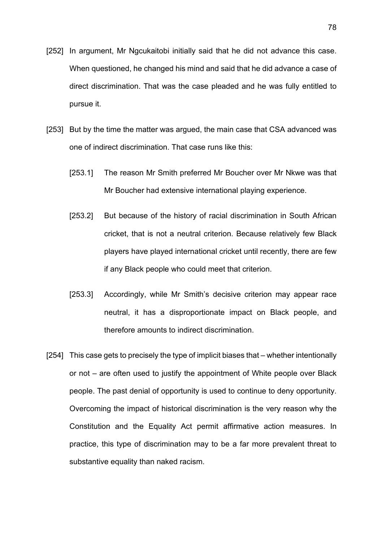- [252] In argument, Mr Ngcukaitobi initially said that he did not advance this case. When questioned, he changed his mind and said that he did advance a case of direct discrimination. That was the case pleaded and he was fully entitled to pursue it.
- [253] But by the time the matter was argued, the main case that CSA advanced was one of indirect discrimination. That case runs like this:
	- [253.1] The reason Mr Smith preferred Mr Boucher over Mr Nkwe was that Mr Boucher had extensive international playing experience.
	- [253.2] But because of the history of racial discrimination in South African cricket, that is not a neutral criterion. Because relatively few Black players have played international cricket until recently, there are few if any Black people who could meet that criterion.
	- [253.3] Accordingly, while Mr Smith's decisive criterion may appear race neutral, it has a disproportionate impact on Black people, and therefore amounts to indirect discrimination.
- [254] This case gets to precisely the type of implicit biases that whether intentionally or not – are often used to justify the appointment of White people over Black people. The past denial of opportunity is used to continue to deny opportunity. Overcoming the impact of historical discrimination is the very reason why the Constitution and the Equality Act permit affirmative action measures. In practice, this type of discrimination may to be a far more prevalent threat to substantive equality than naked racism.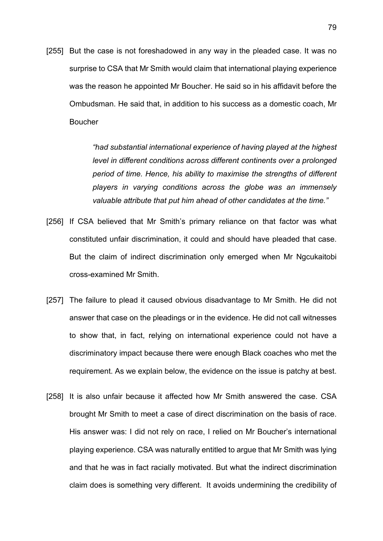[255] But the case is not foreshadowed in any way in the pleaded case. It was no surprise to CSA that Mr Smith would claim that international playing experience was the reason he appointed Mr Boucher. He said so in his affidavit before the Ombudsman. He said that, in addition to his success as a domestic coach, Mr Boucher

> *"had substantial international experience of having played at the highest level in different conditions across different continents over a prolonged period of time. Hence, his ability to maximise the strengths of different players in varying conditions across the globe was an immensely valuable attribute that put him ahead of other candidates at the time."*

- [256] If CSA believed that Mr Smith's primary reliance on that factor was what constituted unfair discrimination, it could and should have pleaded that case. But the claim of indirect discrimination only emerged when Mr Ngcukaitobi cross-examined Mr Smith.
- [257] The failure to plead it caused obvious disadvantage to Mr Smith. He did not answer that case on the pleadings or in the evidence. He did not call witnesses to show that, in fact, relying on international experience could not have a discriminatory impact because there were enough Black coaches who met the requirement. As we explain below, the evidence on the issue is patchy at best.
- [258] It is also unfair because it affected how Mr Smith answered the case. CSA brought Mr Smith to meet a case of direct discrimination on the basis of race. His answer was: I did not rely on race, I relied on Mr Boucher's international playing experience. CSA was naturally entitled to argue that Mr Smith was lying and that he was in fact racially motivated. But what the indirect discrimination claim does is something very different. It avoids undermining the credibility of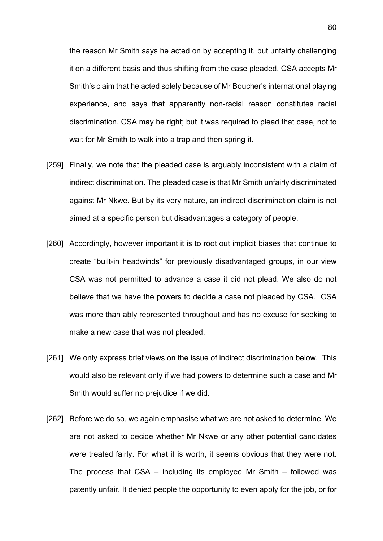the reason Mr Smith says he acted on by accepting it, but unfairly challenging it on a different basis and thus shifting from the case pleaded. CSA accepts Mr Smith's claim that he acted solely because of Mr Boucher's international playing experience, and says that apparently non-racial reason constitutes racial discrimination. CSA may be right; but it was required to plead that case, not to wait for Mr Smith to walk into a trap and then spring it.

- [259] Finally, we note that the pleaded case is arguably inconsistent with a claim of indirect discrimination. The pleaded case is that Mr Smith unfairly discriminated against Mr Nkwe. But by its very nature, an indirect discrimination claim is not aimed at a specific person but disadvantages a category of people.
- [260] Accordingly, however important it is to root out implicit biases that continue to create "built-in headwinds" for previously disadvantaged groups, in our view CSA was not permitted to advance a case it did not plead. We also do not believe that we have the powers to decide a case not pleaded by CSA. CSA was more than ably represented throughout and has no excuse for seeking to make a new case that was not pleaded.
- [261] We only express brief views on the issue of indirect discrimination below. This would also be relevant only if we had powers to determine such a case and Mr Smith would suffer no prejudice if we did.
- [262] Before we do so, we again emphasise what we are not asked to determine. We are not asked to decide whether Mr Nkwe or any other potential candidates were treated fairly. For what it is worth, it seems obvious that they were not. The process that CSA – including its employee Mr Smith – followed was patently unfair. It denied people the opportunity to even apply for the job, or for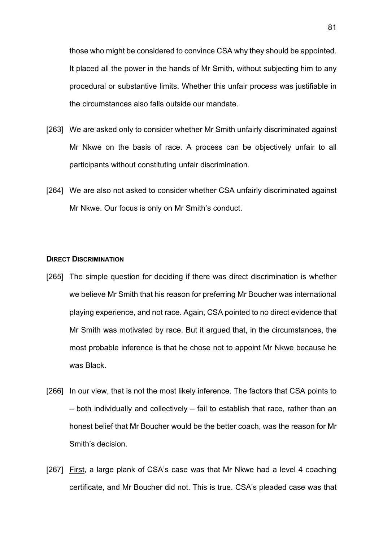those who might be considered to convince CSA why they should be appointed. It placed all the power in the hands of Mr Smith, without subjecting him to any procedural or substantive limits. Whether this unfair process was justifiable in the circumstances also falls outside our mandate.

- [263] We are asked only to consider whether Mr Smith unfairly discriminated against Mr Nkwe on the basis of race. A process can be objectively unfair to all participants without constituting unfair discrimination.
- [264] We are also not asked to consider whether CSA unfairly discriminated against Mr Nkwe. Our focus is only on Mr Smith's conduct.

### **DIRECT DISCRIMINATION**

- [265] The simple question for deciding if there was direct discrimination is whether we believe Mr Smith that his reason for preferring Mr Boucher was international playing experience, and not race. Again, CSA pointed to no direct evidence that Mr Smith was motivated by race. But it argued that, in the circumstances, the most probable inference is that he chose not to appoint Mr Nkwe because he was Black.
- [266] In our view, that is not the most likely inference. The factors that CSA points to – both individually and collectively – fail to establish that race, rather than an honest belief that Mr Boucher would be the better coach, was the reason for Mr Smith's decision.
- [267] First, a large plank of CSA's case was that Mr Nkwe had a level 4 coaching certificate, and Mr Boucher did not. This is true. CSA's pleaded case was that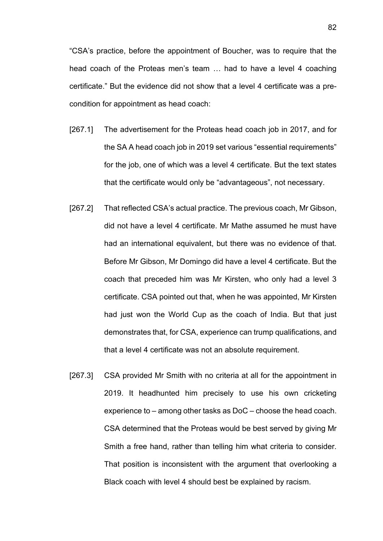"CSA's practice, before the appointment of Boucher, was to require that the head coach of the Proteas men's team … had to have a level 4 coaching certificate." But the evidence did not show that a level 4 certificate was a precondition for appointment as head coach:

- [267.1] The advertisement for the Proteas head coach job in 2017, and for the SA A head coach job in 2019 set various "essential requirements" for the job, one of which was a level 4 certificate. But the text states that the certificate would only be "advantageous", not necessary.
- [267.2] That reflected CSA's actual practice. The previous coach, Mr Gibson, did not have a level 4 certificate. Mr Mathe assumed he must have had an international equivalent, but there was no evidence of that. Before Mr Gibson, Mr Domingo did have a level 4 certificate. But the coach that preceded him was Mr Kirsten, who only had a level 3 certificate. CSA pointed out that, when he was appointed, Mr Kirsten had just won the World Cup as the coach of India. But that just demonstrates that, for CSA, experience can trump qualifications, and that a level 4 certificate was not an absolute requirement.
- [267.3] CSA provided Mr Smith with no criteria at all for the appointment in 2019. It headhunted him precisely to use his own cricketing experience to – among other tasks as DoC – choose the head coach. CSA determined that the Proteas would be best served by giving Mr Smith a free hand, rather than telling him what criteria to consider. That position is inconsistent with the argument that overlooking a Black coach with level 4 should best be explained by racism.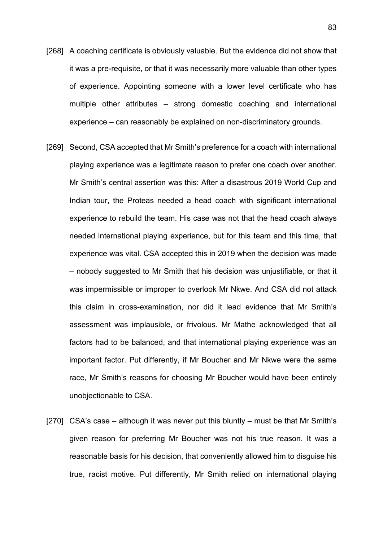- [268] A coaching certificate is obviously valuable. But the evidence did not show that it was a pre-requisite, or that it was necessarily more valuable than other types of experience. Appointing someone with a lower level certificate who has multiple other attributes – strong domestic coaching and international experience – can reasonably be explained on non-discriminatory grounds.
- [269] Second, CSA accepted that Mr Smith's preference for a coach with international playing experience was a legitimate reason to prefer one coach over another. Mr Smith's central assertion was this: After a disastrous 2019 World Cup and Indian tour, the Proteas needed a head coach with significant international experience to rebuild the team. His case was not that the head coach always needed international playing experience, but for this team and this time, that experience was vital. CSA accepted this in 2019 when the decision was made – nobody suggested to Mr Smith that his decision was unjustifiable, or that it was impermissible or improper to overlook Mr Nkwe. And CSA did not attack this claim in cross-examination, nor did it lead evidence that Mr Smith's assessment was implausible, or frivolous. Mr Mathe acknowledged that all factors had to be balanced, and that international playing experience was an important factor. Put differently, if Mr Boucher and Mr Nkwe were the same race, Mr Smith's reasons for choosing Mr Boucher would have been entirely unobjectionable to CSA.
- [270] CSA's case although it was never put this bluntly must be that Mr Smith's given reason for preferring Mr Boucher was not his true reason. It was a reasonable basis for his decision, that conveniently allowed him to disguise his true, racist motive. Put differently, Mr Smith relied on international playing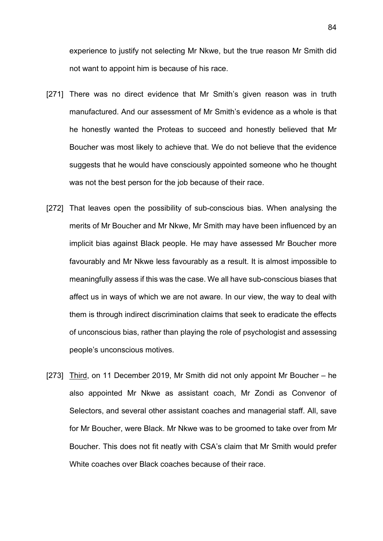experience to justify not selecting Mr Nkwe, but the true reason Mr Smith did not want to appoint him is because of his race.

- [271] There was no direct evidence that Mr Smith's given reason was in truth manufactured. And our assessment of Mr Smith's evidence as a whole is that he honestly wanted the Proteas to succeed and honestly believed that Mr Boucher was most likely to achieve that. We do not believe that the evidence suggests that he would have consciously appointed someone who he thought was not the best person for the job because of their race.
- [272] That leaves open the possibility of sub-conscious bias. When analysing the merits of Mr Boucher and Mr Nkwe, Mr Smith may have been influenced by an implicit bias against Black people. He may have assessed Mr Boucher more favourably and Mr Nkwe less favourably as a result. It is almost impossible to meaningfully assess if this was the case. We all have sub-conscious biases that affect us in ways of which we are not aware. In our view, the way to deal with them is through indirect discrimination claims that seek to eradicate the effects of unconscious bias, rather than playing the role of psychologist and assessing people's unconscious motives.
- [273] Third, on 11 December 2019, Mr Smith did not only appoint Mr Boucher he also appointed Mr Nkwe as assistant coach, Mr Zondi as Convenor of Selectors, and several other assistant coaches and managerial staff. All, save for Mr Boucher, were Black. Mr Nkwe was to be groomed to take over from Mr Boucher. This does not fit neatly with CSA's claim that Mr Smith would prefer White coaches over Black coaches because of their race.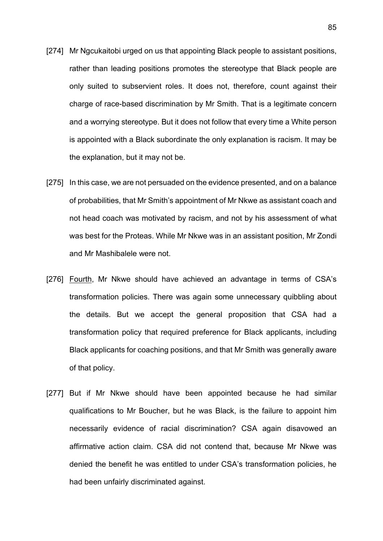- [274] Mr Ngcukaitobi urged on us that appointing Black people to assistant positions, rather than leading positions promotes the stereotype that Black people are only suited to subservient roles. It does not, therefore, count against their charge of race-based discrimination by Mr Smith. That is a legitimate concern and a worrying stereotype. But it does not follow that every time a White person is appointed with a Black subordinate the only explanation is racism. It may be the explanation, but it may not be.
- [275] In this case, we are not persuaded on the evidence presented, and on a balance of probabilities, that Mr Smith's appointment of Mr Nkwe as assistant coach and not head coach was motivated by racism, and not by his assessment of what was best for the Proteas. While Mr Nkwe was in an assistant position, Mr Zondi and Mr Mashibalele were not.
- [276] Fourth, Mr Nkwe should have achieved an advantage in terms of CSA's transformation policies. There was again some unnecessary quibbling about the details. But we accept the general proposition that CSA had a transformation policy that required preference for Black applicants, including Black applicants for coaching positions, and that Mr Smith was generally aware of that policy.
- [277] But if Mr Nkwe should have been appointed because he had similar qualifications to Mr Boucher, but he was Black, is the failure to appoint him necessarily evidence of racial discrimination? CSA again disavowed an affirmative action claim. CSA did not contend that, because Mr Nkwe was denied the benefit he was entitled to under CSA's transformation policies, he had been unfairly discriminated against.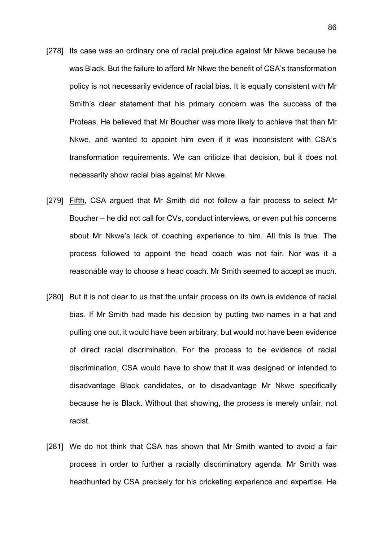- [278] Its case was an ordinary one of racial prejudice against Mr Nkwe because he was Black. But the failure to afford Mr Nkwe the benefit of CSA's transformation policy is not necessarily evidence of racial bias. It is equally consistent with Mr Smith's clear statement that his primary concern was the success of the Proteas. He believed that Mr Boucher was more likely to achieve that than Mr Nkwe, and wanted to appoint him even if it was inconsistent with CSA's transformation requirements. We can criticize that decision, but it does not necessarily show racial bias against Mr Nkwe.
- [279] Fifth, CSA argued that Mr Smith did not follow a fair process to select Mr Boucher – he did not call for CVs, conduct interviews, or even put his concerns about Mr Nkwe's lack of coaching experience to him. All this is true. The process followed to appoint the head coach was not fair. Nor was it a reasonable way to choose a head coach. Mr Smith seemed to accept as much.
- [280] But it is not clear to us that the unfair process on its own is evidence of racial bias. If Mr Smith had made his decision by putting two names in a hat and pulling one out, it would have been arbitrary, but would not have been evidence of direct racial discrimination. For the process to be evidence of racial discrimination, CSA would have to show that it was designed or intended to disadvantage Black candidates, or to disadvantage Mr Nkwe specifically because he is Black. Without that showing, the process is merely unfair, not racist.
- [281] We do not think that CSA has shown that Mr Smith wanted to avoid a fair process in order to further a racially discriminatory agenda. Mr Smith was headhunted by CSA precisely for his cricketing experience and expertise. He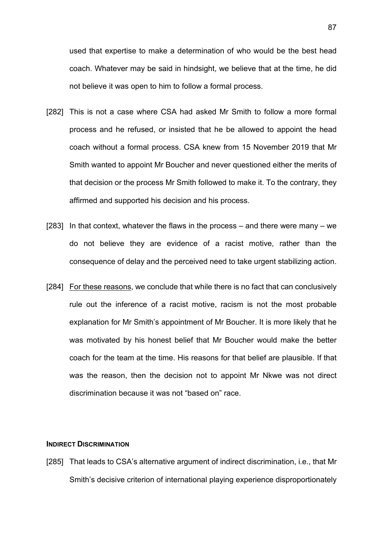used that expertise to make a determination of who would be the best head coach. Whatever may be said in hindsight, we believe that at the time, he did not believe it was open to him to follow a formal process.

- [282] This is not a case where CSA had asked Mr Smith to follow a more formal process and he refused, or insisted that he be allowed to appoint the head coach without a formal process. CSA knew from 15 November 2019 that Mr Smith wanted to appoint Mr Boucher and never questioned either the merits of that decision or the process Mr Smith followed to make it. To the contrary, they affirmed and supported his decision and his process.
- [283] In that context, whatever the flaws in the process and there were many we do not believe they are evidence of a racist motive, rather than the consequence of delay and the perceived need to take urgent stabilizing action.
- [284] For these reasons, we conclude that while there is no fact that can conclusively rule out the inference of a racist motive, racism is not the most probable explanation for Mr Smith's appointment of Mr Boucher. It is more likely that he was motivated by his honest belief that Mr Boucher would make the better coach for the team at the time. His reasons for that belief are plausible. If that was the reason, then the decision not to appoint Mr Nkwe was not direct discrimination because it was not "based on" race.

### **INDIRECT DISCRIMINATION**

[285] That leads to CSA's alternative argument of indirect discrimination, i.e., that Mr Smith's decisive criterion of international playing experience disproportionately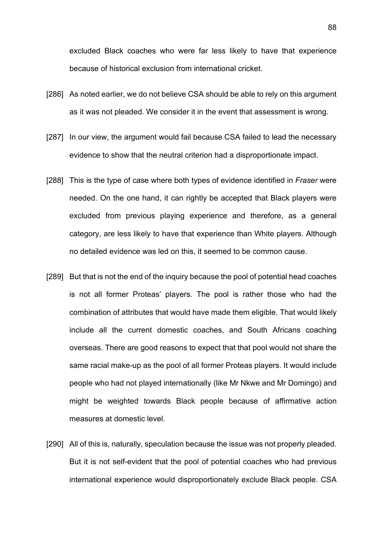excluded Black coaches who were far less likely to have that experience because of historical exclusion from international cricket.

- [286] As noted earlier, we do not believe CSA should be able to rely on this argument as it was not pleaded. We consider it in the event that assessment is wrong.
- [287] In our view, the argument would fail because CSA failed to lead the necessary evidence to show that the neutral criterion had a disproportionate impact.
- [288] This is the type of case where both types of evidence identified in *Fraser* were needed. On the one hand, it can rightly be accepted that Black players were excluded from previous playing experience and therefore, as a general category, are less likely to have that experience than White players. Although no detailed evidence was led on this, it seemed to be common cause.
- [289] But that is not the end of the inquiry because the pool of potential head coaches is not all former Proteas' players. The pool is rather those who had the combination of attributes that would have made them eligible. That would likely include all the current domestic coaches, and South Africans coaching overseas. There are good reasons to expect that that pool would not share the same racial make-up as the pool of all former Proteas players. It would include people who had not played internationally (like Mr Nkwe and Mr Domingo) and might be weighted towards Black people because of affirmative action measures at domestic level.
- [290] All of this is, naturally, speculation because the issue was not properly pleaded. But it is not self-evident that the pool of potential coaches who had previous international experience would disproportionately exclude Black people. CSA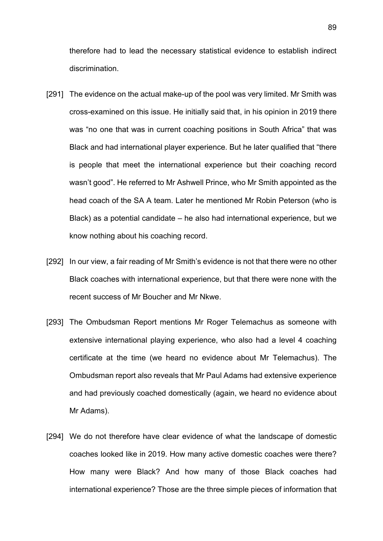therefore had to lead the necessary statistical evidence to establish indirect discrimination.

- [291] The evidence on the actual make-up of the pool was very limited. Mr Smith was cross-examined on this issue. He initially said that, in his opinion in 2019 there was "no one that was in current coaching positions in South Africa" that was Black and had international player experience. But he later qualified that "there is people that meet the international experience but their coaching record wasn't good". He referred to Mr Ashwell Prince, who Mr Smith appointed as the head coach of the SA A team. Later he mentioned Mr Robin Peterson (who is Black) as a potential candidate – he also had international experience, but we know nothing about his coaching record.
- [292] In our view, a fair reading of Mr Smith's evidence is not that there were no other Black coaches with international experience, but that there were none with the recent success of Mr Boucher and Mr Nkwe.
- [293] The Ombudsman Report mentions Mr Roger Telemachus as someone with extensive international playing experience, who also had a level 4 coaching certificate at the time (we heard no evidence about Mr Telemachus). The Ombudsman report also reveals that Mr Paul Adams had extensive experience and had previously coached domestically (again, we heard no evidence about Mr Adams).
- [294] We do not therefore have clear evidence of what the landscape of domestic coaches looked like in 2019. How many active domestic coaches were there? How many were Black? And how many of those Black coaches had international experience? Those are the three simple pieces of information that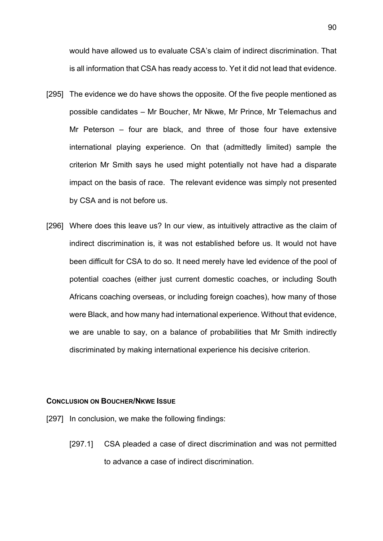would have allowed us to evaluate CSA's claim of indirect discrimination. That is all information that CSA has ready access to. Yet it did not lead that evidence.

- [295] The evidence we do have shows the opposite. Of the five people mentioned as possible candidates – Mr Boucher, Mr Nkwe, Mr Prince, Mr Telemachus and Mr Peterson – four are black, and three of those four have extensive international playing experience. On that (admittedly limited) sample the criterion Mr Smith says he used might potentially not have had a disparate impact on the basis of race. The relevant evidence was simply not presented by CSA and is not before us.
- [296] Where does this leave us? In our view, as intuitively attractive as the claim of indirect discrimination is, it was not established before us. It would not have been difficult for CSA to do so. It need merely have led evidence of the pool of potential coaches (either just current domestic coaches, or including South Africans coaching overseas, or including foreign coaches), how many of those were Black, and how many had international experience. Without that evidence, we are unable to say, on a balance of probabilities that Mr Smith indirectly discriminated by making international experience his decisive criterion.

# **CONCLUSION ON BOUCHER/NKWE ISSUE**

- [297] In conclusion, we make the following findings:
	- [297.1] CSA pleaded a case of direct discrimination and was not permitted to advance a case of indirect discrimination.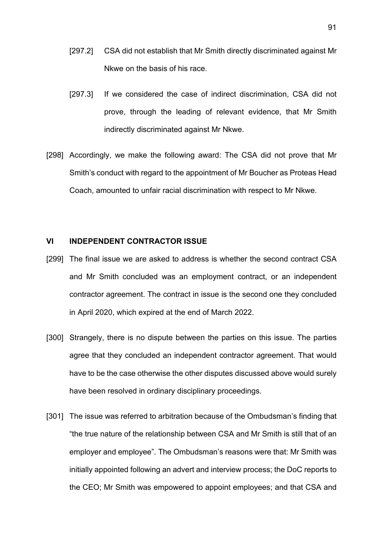- [297.2] CSA did not establish that Mr Smith directly discriminated against Mr Nkwe on the basis of his race.
- [297.3] If we considered the case of indirect discrimination, CSA did not prove, through the leading of relevant evidence, that Mr Smith indirectly discriminated against Mr Nkwe.
- [298] Accordingly, we make the following award: The CSA did not prove that Mr Smith's conduct with regard to the appointment of Mr Boucher as Proteas Head Coach, amounted to unfair racial discrimination with respect to Mr Nkwe.

# **VI INDEPENDENT CONTRACTOR ISSUE**

- [299] The final issue we are asked to address is whether the second contract CSA and Mr Smith concluded was an employment contract, or an independent contractor agreement. The contract in issue is the second one they concluded in April 2020, which expired at the end of March 2022.
- [300] Strangely, there is no dispute between the parties on this issue. The parties agree that they concluded an independent contractor agreement. That would have to be the case otherwise the other disputes discussed above would surely have been resolved in ordinary disciplinary proceedings.
- [301] The issue was referred to arbitration because of the Ombudsman's finding that "the true nature of the relationship between CSA and Mr Smith is still that of an employer and employee". The Ombudsman's reasons were that: Mr Smith was initially appointed following an advert and interview process; the DoC reports to the CEO; Mr Smith was empowered to appoint employees; and that CSA and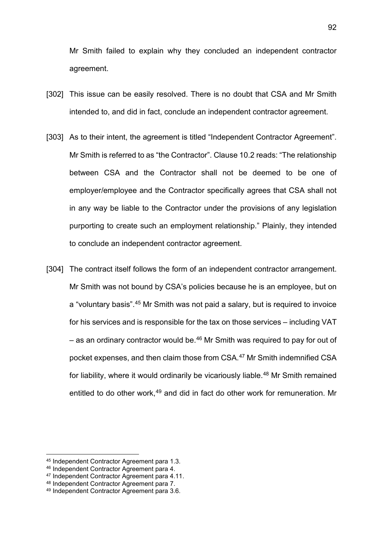Mr Smith failed to explain why they concluded an independent contractor agreement.

- [302] This issue can be easily resolved. There is no doubt that CSA and Mr Smith intended to, and did in fact, conclude an independent contractor agreement.
- [303] As to their intent, the agreement is titled "Independent Contractor Agreement". Mr Smith is referred to as "the Contractor". Clause 10.2 reads: "The relationship between CSA and the Contractor shall not be deemed to be one of employer/employee and the Contractor specifically agrees that CSA shall not in any way be liable to the Contractor under the provisions of any legislation purporting to create such an employment relationship." Plainly, they intended to conclude an independent contractor agreement.
- [304] The contract itself follows the form of an independent contractor arrangement. Mr Smith was not bound by CSA's policies because he is an employee, but on a "voluntary basis".[45](#page-91-0) Mr Smith was not paid a salary, but is required to invoice for his services and is responsible for the tax on those services – including VAT – as an ordinary contractor would be.<sup>[46](#page-91-1)</sup> Mr Smith was required to pay for out of pocket expenses, and then claim those from CSA.[47](#page-91-2) Mr Smith indemnified CSA for liability, where it would ordinarily be vicariously liable.<sup>[48](#page-91-3)</sup> Mr Smith remained entitled to do other work, [49](#page-91-4) and did in fact do other work for remuneration. Mr

<span id="page-91-0"></span><sup>45</sup> Independent Contractor Agreement para 1.3.

<span id="page-91-1"></span><sup>46</sup> Independent Contractor Agreement para 4.

<span id="page-91-2"></span><sup>47</sup> Independent Contractor Agreement para 4.11.

<span id="page-91-3"></span><sup>48</sup> Independent Contractor Agreement para 7.

<span id="page-91-4"></span><sup>49</sup> Independent Contractor Agreement para 3.6.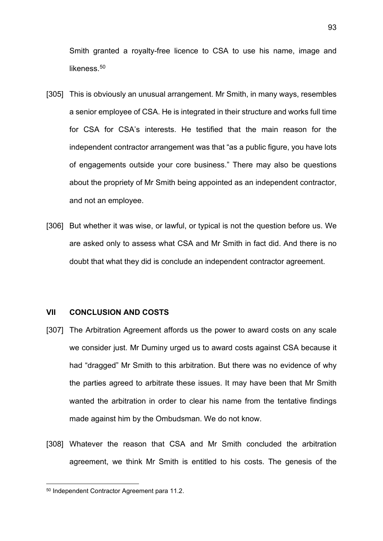Smith granted a royalty-free licence to CSA to use his name, image and likeness $50$ 

- [305] This is obviously an unusual arrangement. Mr Smith, in many ways, resembles a senior employee of CSA. He is integrated in their structure and works full time for CSA for CSA's interests. He testified that the main reason for the independent contractor arrangement was that "as a public figure, you have lots of engagements outside your core business." There may also be questions about the propriety of Mr Smith being appointed as an independent contractor, and not an employee.
- [306] But whether it was wise, or lawful, or typical is not the question before us. We are asked only to assess what CSA and Mr Smith in fact did. And there is no doubt that what they did is conclude an independent contractor agreement.

# **VII CONCLUSION AND COSTS**

- [307] The Arbitration Agreement affords us the power to award costs on any scale we consider just. Mr Duminy urged us to award costs against CSA because it had "dragged" Mr Smith to this arbitration. But there was no evidence of why the parties agreed to arbitrate these issues. It may have been that Mr Smith wanted the arbitration in order to clear his name from the tentative findings made against him by the Ombudsman. We do not know.
- [308] Whatever the reason that CSA and Mr Smith concluded the arbitration agreement, we think Mr Smith is entitled to his costs. The genesis of the

<span id="page-92-0"></span><sup>50</sup> Independent Contractor Agreement para 11.2.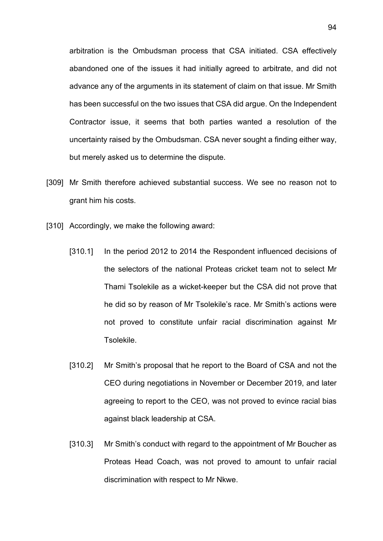arbitration is the Ombudsman process that CSA initiated. CSA effectively abandoned one of the issues it had initially agreed to arbitrate, and did not advance any of the arguments in its statement of claim on that issue. Mr Smith has been successful on the two issues that CSA did argue. On the Independent Contractor issue, it seems that both parties wanted a resolution of the uncertainty raised by the Ombudsman. CSA never sought a finding either way, but merely asked us to determine the dispute.

- [309] Mr Smith therefore achieved substantial success. We see no reason not to grant him his costs.
- [310] Accordingly, we make the following award:
	- [310.1] In the period 2012 to 2014 the Respondent influenced decisions of the selectors of the national Proteas cricket team not to select Mr Thami Tsolekile as a wicket-keeper but the CSA did not prove that he did so by reason of Mr Tsolekile's race. Mr Smith's actions were not proved to constitute unfair racial discrimination against Mr Tsolekile.
	- [310.2] Mr Smith's proposal that he report to the Board of CSA and not the CEO during negotiations in November or December 2019, and later agreeing to report to the CEO, was not proved to evince racial bias against black leadership at CSA.
	- [310.3] Mr Smith's conduct with regard to the appointment of Mr Boucher as Proteas Head Coach, was not proved to amount to unfair racial discrimination with respect to Mr Nkwe.